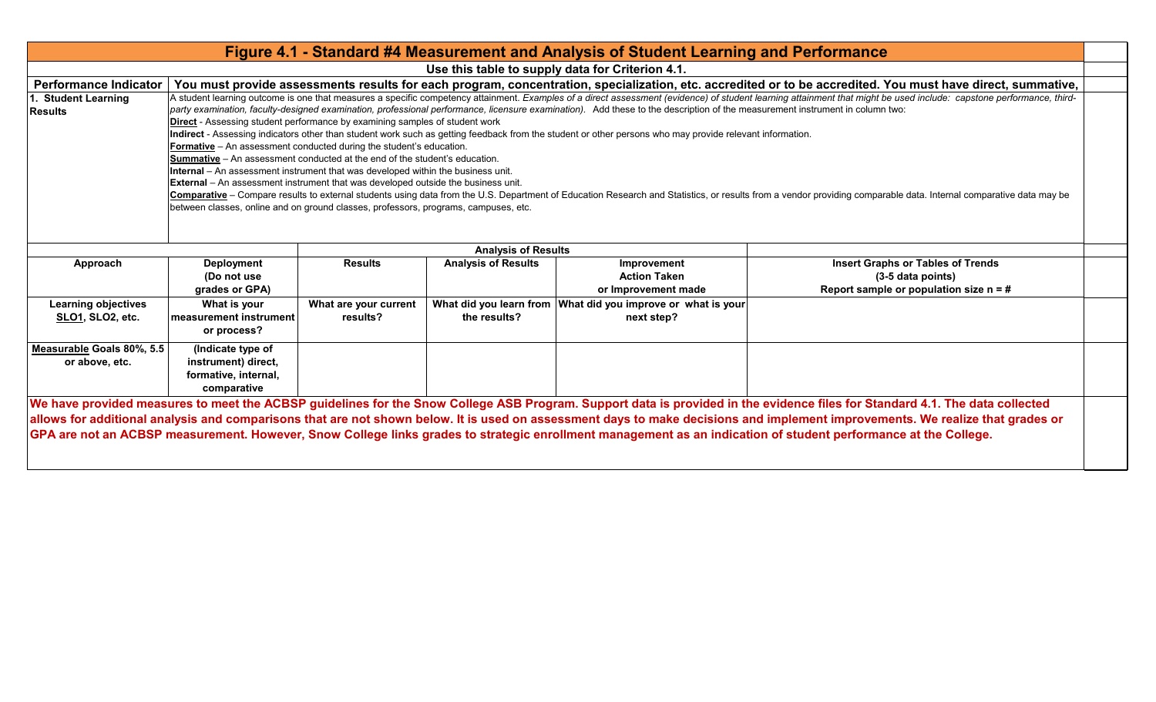|                                                |                                                                                                                                                                                                                                                                                                                                                                                                                                                                                                                                                                                                                                                                                                                                                                                                                                                                                                                                                                                                                                                                                                                                                                                                                                                                                                                                                                                                                                                                                             |                                   |                                                          | Figure 4.1 - Standard #4 Measurement and Analysis of Student Learning and Performance |                                                                                                                                                                                                                                                                                                                                                                                                                                                                                                                                   |  |  |  |  |
|------------------------------------------------|---------------------------------------------------------------------------------------------------------------------------------------------------------------------------------------------------------------------------------------------------------------------------------------------------------------------------------------------------------------------------------------------------------------------------------------------------------------------------------------------------------------------------------------------------------------------------------------------------------------------------------------------------------------------------------------------------------------------------------------------------------------------------------------------------------------------------------------------------------------------------------------------------------------------------------------------------------------------------------------------------------------------------------------------------------------------------------------------------------------------------------------------------------------------------------------------------------------------------------------------------------------------------------------------------------------------------------------------------------------------------------------------------------------------------------------------------------------------------------------------|-----------------------------------|----------------------------------------------------------|---------------------------------------------------------------------------------------|-----------------------------------------------------------------------------------------------------------------------------------------------------------------------------------------------------------------------------------------------------------------------------------------------------------------------------------------------------------------------------------------------------------------------------------------------------------------------------------------------------------------------------------|--|--|--|--|
|                                                |                                                                                                                                                                                                                                                                                                                                                                                                                                                                                                                                                                                                                                                                                                                                                                                                                                                                                                                                                                                                                                                                                                                                                                                                                                                                                                                                                                                                                                                                                             |                                   |                                                          | Use this table to supply data for Criterion 4.1.                                      |                                                                                                                                                                                                                                                                                                                                                                                                                                                                                                                                   |  |  |  |  |
| <b>Performance Indicator</b>                   |                                                                                                                                                                                                                                                                                                                                                                                                                                                                                                                                                                                                                                                                                                                                                                                                                                                                                                                                                                                                                                                                                                                                                                                                                                                                                                                                                                                                                                                                                             |                                   |                                                          |                                                                                       |                                                                                                                                                                                                                                                                                                                                                                                                                                                                                                                                   |  |  |  |  |
| <b>Student Learning</b><br><b>Results</b>      | You must provide assessments results for each program, concentration, specialization, etc. accredited or to be accredited. You must have direct, summative,<br>A student learning outcome is one that measures a specific competency attainment. Examples of a direct assessment (evidence) of student learning attainment that might be used include: capstone performance, third-<br>party examination, faculty-designed examination, professional performance, licensure examination). Add these to the description of the measurement instrument in column two:<br><b>Direct</b> - Assessing student performance by examining samples of student work<br>Indirect - Assessing indicators other than student work such as getting feedback from the student or other persons who may provide relevant information.<br><b>Formative</b> - An assessment conducted during the student's education.<br><b>Summative</b> – An assessment conducted at the end of the student's education.<br><b>Internal</b> – An assessment instrument that was developed within the business unit.<br><b>External</b> - An assessment instrument that was developed outside the business unit.<br>Comparative - Compare results to external students using data from the U.S. Department of Education Research and Statistics, or results from a vendor providing comparable data. Internal comparative data may be<br>between classes, online and on ground classes, professors, programs, campuses, etc. |                                   |                                                          |                                                                                       |                                                                                                                                                                                                                                                                                                                                                                                                                                                                                                                                   |  |  |  |  |
| Approach                                       | <b>Deployment</b>                                                                                                                                                                                                                                                                                                                                                                                                                                                                                                                                                                                                                                                                                                                                                                                                                                                                                                                                                                                                                                                                                                                                                                                                                                                                                                                                                                                                                                                                           | <b>Results</b>                    | <b>Analysis of Results</b><br><b>Analysis of Results</b> | Improvement                                                                           | <b>Insert Graphs or Tables of Trends</b>                                                                                                                                                                                                                                                                                                                                                                                                                                                                                          |  |  |  |  |
|                                                | (Do not use<br>grades or GPA)                                                                                                                                                                                                                                                                                                                                                                                                                                                                                                                                                                                                                                                                                                                                                                                                                                                                                                                                                                                                                                                                                                                                                                                                                                                                                                                                                                                                                                                               |                                   |                                                          | <b>Action Taken</b><br>or Improvement made                                            | (3-5 data points)<br>Report sample or population size $n = #$                                                                                                                                                                                                                                                                                                                                                                                                                                                                     |  |  |  |  |
| <b>Learning objectives</b><br>SLO1, SLO2, etc. | What is your<br>l measurement instrument<br>or process?                                                                                                                                                                                                                                                                                                                                                                                                                                                                                                                                                                                                                                                                                                                                                                                                                                                                                                                                                                                                                                                                                                                                                                                                                                                                                                                                                                                                                                     | What are your current<br>results? | the results?                                             | What did you learn from What did you improve or what is your<br>next step?            |                                                                                                                                                                                                                                                                                                                                                                                                                                                                                                                                   |  |  |  |  |
| Measurable Goals 80%, 5.5<br>or above, etc.    | (Indicate type of<br>instrument) direct,<br>formative, internal,<br>comparative                                                                                                                                                                                                                                                                                                                                                                                                                                                                                                                                                                                                                                                                                                                                                                                                                                                                                                                                                                                                                                                                                                                                                                                                                                                                                                                                                                                                             |                                   |                                                          |                                                                                       |                                                                                                                                                                                                                                                                                                                                                                                                                                                                                                                                   |  |  |  |  |
|                                                |                                                                                                                                                                                                                                                                                                                                                                                                                                                                                                                                                                                                                                                                                                                                                                                                                                                                                                                                                                                                                                                                                                                                                                                                                                                                                                                                                                                                                                                                                             |                                   |                                                          |                                                                                       | We have provided measures to meet the ACBSP guidelines for the Snow College ASB Program. Support data is provided in the evidence files for Standard 4.1. The data collected<br>allows for additional analysis and comparisons that are not shown below. It is used on assessment days to make decisions and implement improvements. We realize that grades or<br>GPA are not an ACBSP measurement. However, Snow College links grades to strategic enrollment management as an indication of student performance at the College. |  |  |  |  |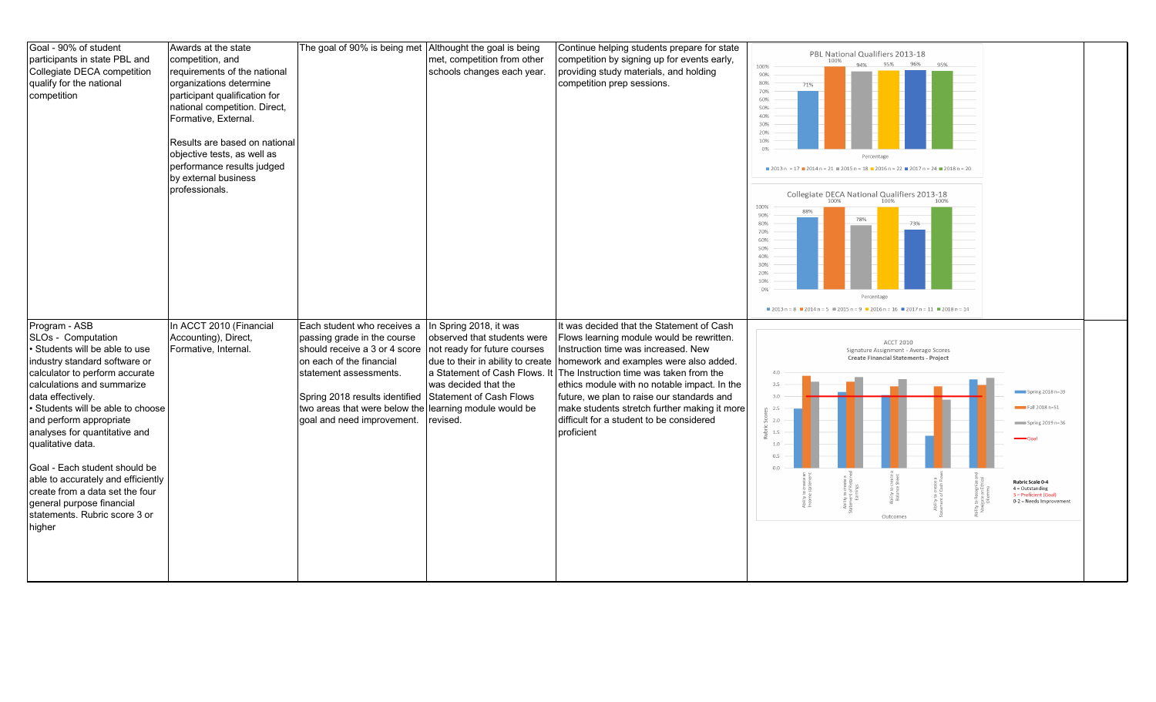| Goal - 90% of student<br>participants in state PBL and<br>Collegiate DECA competition<br>qualify for the national<br>competition                                                                                                                                                                                                                                                                                                                                                                    | Awards at the state<br>competition, and<br>requirements of the national<br>organizations determine<br>participant qualification for<br>national competition. Direct,<br>Formative, External.<br>Results are based on national<br>objective tests, as well as<br>performance results judged<br>by external business<br>professionals. | The goal of 90% is being met Althought the goal is being                                                                                                                                                                                                                                            | met, competition from other<br>schools changes each year.                                                                                                                                       | Continue helping students prepare for state<br>competition by signing up for events early,<br>providing study materials, and holding<br>competition prep sessions.                                                                                                                                                                                                                                                         | PBL National Qualifiers 2013-18<br>95%<br>94%<br>96%<br>95%<br>100%<br>90%<br>80%<br>71%<br>70%<br>60%<br>50%<br>40%<br>30%<br>20%<br>10%<br>0%<br>Percentage<br>$2013 n = 17$ 2014 n = 21 = 2015 n = 18 = 2016 n = 22 = 2017 n = 24 = 2018 n = 20<br>Collegiate DECA National Qualifiers 2013-18<br>100% 100% 100%<br>100%<br>88%<br>90%<br>78%<br>80%<br>73%<br>70%<br>60%<br>50%<br>40%<br>30%<br>20%<br>10%<br>0%<br>Percentage<br>$12013 n = 8$ $12014 n = 5$ $12015 n = 9$ $12016 n = 16$ $12017 n = 11$ $12018 n = 14$ |
|-----------------------------------------------------------------------------------------------------------------------------------------------------------------------------------------------------------------------------------------------------------------------------------------------------------------------------------------------------------------------------------------------------------------------------------------------------------------------------------------------------|--------------------------------------------------------------------------------------------------------------------------------------------------------------------------------------------------------------------------------------------------------------------------------------------------------------------------------------|-----------------------------------------------------------------------------------------------------------------------------------------------------------------------------------------------------------------------------------------------------------------------------------------------------|-------------------------------------------------------------------------------------------------------------------------------------------------------------------------------------------------|----------------------------------------------------------------------------------------------------------------------------------------------------------------------------------------------------------------------------------------------------------------------------------------------------------------------------------------------------------------------------------------------------------------------------|-------------------------------------------------------------------------------------------------------------------------------------------------------------------------------------------------------------------------------------------------------------------------------------------------------------------------------------------------------------------------------------------------------------------------------------------------------------------------------------------------------------------------------|
| Program - ASB<br>SLOs - Computation<br>• Students will be able to use<br>industry standard software or<br>calculator to perform accurate<br>calculations and summarize<br>data effectively.<br>· Students will be able to choose<br>and perform appropriate<br>analyses for quantitative and<br>qualitative data.<br>Goal - Each student should be<br>able to accurately and efficiently<br>create from a data set the four<br>general purpose financial<br>statements. Rubric score 3 or<br>higher | In ACCT 2010 (Financial<br>Accounting), Direct,<br>Formative, Internal.                                                                                                                                                                                                                                                              | Each student who receives a<br>passing grade in the course<br>should receive a 3 or 4 score<br>on each of the financial<br>statement assessments.<br>Spring 2018 results identified Statement of Cash Flows<br>two areas that were below the learning module would be<br>goal and need improvement. | In Spring 2018, it was<br>observed that students were<br>not ready for future courses<br>due to their in ability to create<br>a Statement of Cash Flows. It<br>was decided that the<br>revised. | It was decided that the Statement of Cash<br>Flows learning module would be rewritten.<br>Instruction time was increased. New<br>homework and examples were also added.<br>The Instruction time was taken from the<br>ethics module with no notable impact. In the<br>future, we plan to raise our standards and<br>make students stretch further making it more<br>difficult for a student to be considered<br>proficient | <b>ACCT 2010</b><br>Signature Assignment - Average Scores<br>Create Financial Statements - Project<br>4.0<br>3.5<br>Spring $2018n = 39$<br>3.0<br>Fall 2018 n=51<br>2.5<br>$\frac{5}{20}$ 2.0<br>Spring 2019 n=36<br>1.5<br>10<br>0.5<br><b>Rubric Scale 0-4</b><br>$4 =$ Outstanding<br>3 = Proficient (Goal)<br>0-2 = Needs Improvement<br>Outcomes                                                                                                                                                                         |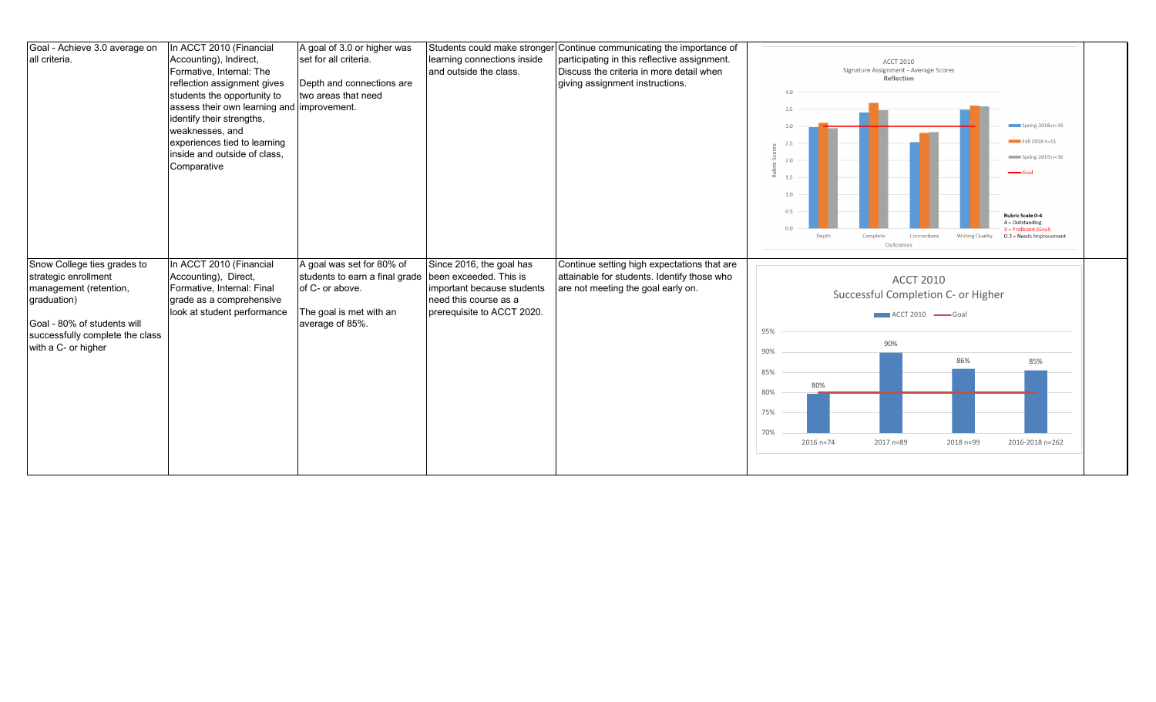| Goal - Achieve 3.0 average on<br>all criteria.                                                                                                                                        | In ACCT 2010 (Financial<br>Accounting), Indirect,<br>Formative, Internal: The<br>reflection assignment gives<br>students the opportunity to<br>assess their own learning and improvement.<br>identify their strengths,<br>weaknesses, and<br>experiences tied to learning<br>inside and outside of class,<br>Comparative | A goal of 3.0 or higher was<br>set for all criteria.<br>Depth and connections are<br>two areas that need                                            | learning connections inside<br>and outside the class.                                                         | Students could make stronger Continue communicating the importance of<br>participating in this reflective assignment.<br>Discuss the criteria in more detail when<br>giving assignment instructions. | <b>ACCT 2010</b><br>Signature Assignment - Average Scores<br>Reflection<br>3.5<br>Spring 2018 n=39<br>3.0<br>Fall 2018 n=51<br>2.5<br>$Spring 2019 n=36$<br>2.0<br>1.5<br>1.0<br>0.5<br>Rubric Scale 0-4<br>$4 =$ Outstanding<br>0.0<br>3 = Proficient (Goal)<br>Complete<br><b>Writing Quality</b><br>Depth<br>Connections<br>0-2 = Needs Improvement<br>Outcomes |
|---------------------------------------------------------------------------------------------------------------------------------------------------------------------------------------|--------------------------------------------------------------------------------------------------------------------------------------------------------------------------------------------------------------------------------------------------------------------------------------------------------------------------|-----------------------------------------------------------------------------------------------------------------------------------------------------|---------------------------------------------------------------------------------------------------------------|------------------------------------------------------------------------------------------------------------------------------------------------------------------------------------------------------|--------------------------------------------------------------------------------------------------------------------------------------------------------------------------------------------------------------------------------------------------------------------------------------------------------------------------------------------------------------------|
| Snow College ties grades to<br>strategic enrollment<br>management (retention,<br>graduation)<br>Goal - 80% of students will<br>successfully complete the class<br>with a C- or higher | In ACCT 2010 (Financial<br>Accounting), Direct,<br>Formative, Internal: Final<br>grade as a comprehensive<br>look at student performance                                                                                                                                                                                 | A goal was set for 80% of<br>students to earn a final grade been exceeded. This is<br>of C- or above.<br>The goal is met with an<br>average of 85%. | Since 2016, the goal has<br>important because students<br>need this course as a<br>prerequisite to ACCT 2020. | Continue setting high expectations that are<br>attainable for students. Identify those who<br>are not meeting the goal early on.                                                                     | <b>ACCT 2010</b><br>Successful Completion C- or Higher<br>ACCT 2010 Goal<br>95%<br>90%<br>90%<br>86%<br>85%<br>85%<br>80%<br>80%<br>75%<br>70%<br>2016 n=74<br>2017 n=89<br>2016-2018 n=262<br>2018 n=99                                                                                                                                                           |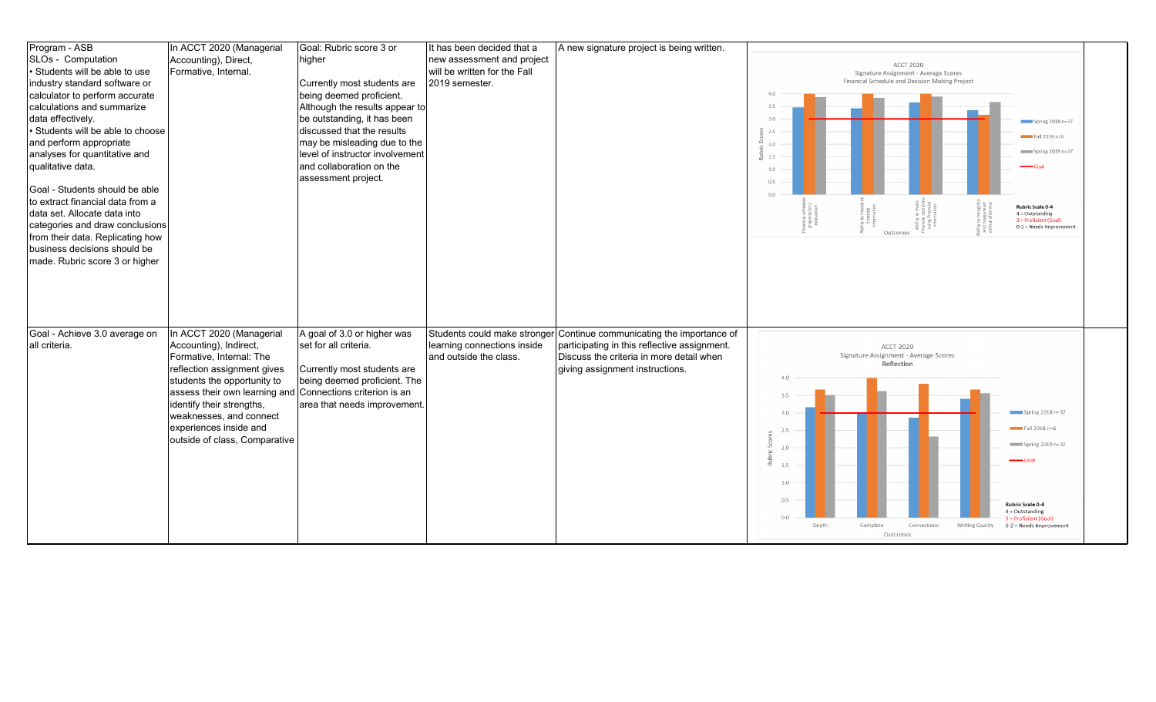| Program - ASB                    | In ACCT 2020 (Managerial      | Goal: Rubric score 3 or         | It has been decided that a   | A new signature project is being written.                             |                                                                                                                     |
|----------------------------------|-------------------------------|---------------------------------|------------------------------|-----------------------------------------------------------------------|---------------------------------------------------------------------------------------------------------------------|
| SLOs - Computation               | Accounting), Direct,          | higher                          | new assessment and project   |                                                                       | <b>ACCT 2020</b>                                                                                                    |
| Students will be able to use     | Formative, Internal.          |                                 | will be written for the Fall |                                                                       | Signature Assignment - Average Scores                                                                               |
| industry standard software or    |                               | Currently most students are     | 2019 semester.               |                                                                       | Financial Schedule and Decision Making Project                                                                      |
| calculator to perform accurate   |                               | being deemed proficient.        |                              |                                                                       | 4.0                                                                                                                 |
| calculations and summarize       |                               | Although the results appear to  |                              |                                                                       | 3.5                                                                                                                 |
| data effectively.                |                               | be outstanding, it has been     |                              |                                                                       | 3.0<br>Spring 2018 n=37                                                                                             |
| Students will be able to choose  |                               | discussed that the results      |                              |                                                                       | 25<br>$Fall 2018 n=6$                                                                                               |
| and perform appropriate          |                               | may be misleading due to the    |                              |                                                                       | 2.0                                                                                                                 |
| analyses for quantitative and    |                               | level of instructor involvement |                              |                                                                       | Spring 2019 n=37<br>1.5                                                                                             |
| qualitative data.                |                               | and collaboration on the        |                              |                                                                       | 1.0                                                                                                                 |
|                                  |                               | assessment project.             |                              |                                                                       | $\Omega$                                                                                                            |
| Goal - Students should be able   |                               |                                 |                              |                                                                       | $\cap$                                                                                                              |
| to extract financial data from a |                               |                                 |                              |                                                                       |                                                                                                                     |
| data set. Allocate data into     |                               |                                 |                              |                                                                       | Rubric Scale 0-4<br>scree<br>ation<br>ation<br>$4 =$ Outstanding                                                    |
| categories and draw conclusions  |                               |                                 |                              |                                                                       | nancial.<br>prepara<br>evalua<br>any<br>Englis<br>Englis<br>3 = Proficient (Goal)<br>0-2 = Needs Improvement        |
| from their data. Replicating how |                               |                                 |                              |                                                                       | Outcomes                                                                                                            |
| business decisions should be     |                               |                                 |                              |                                                                       |                                                                                                                     |
| made. Rubric score 3 or higher   |                               |                                 |                              |                                                                       |                                                                                                                     |
|                                  |                               |                                 |                              |                                                                       |                                                                                                                     |
|                                  |                               |                                 |                              |                                                                       |                                                                                                                     |
|                                  |                               |                                 |                              |                                                                       |                                                                                                                     |
|                                  |                               |                                 |                              |                                                                       |                                                                                                                     |
|                                  |                               |                                 |                              |                                                                       |                                                                                                                     |
| Goal - Achieve 3.0 average on    | In ACCT 2020 (Managerial      | A goal of 3.0 or higher was     |                              | Students could make stronger Continue communicating the importance of |                                                                                                                     |
| all criteria.                    | Accounting), Indirect,        | set for all criteria.           | learning connections inside  | participating in this reflective assignment.                          | <b>ACCT 2020</b>                                                                                                    |
|                                  | Formative, Internal: The      |                                 | and outside the class.       | Discuss the criteria in more detail when                              | Signature Assignment - Average Scores                                                                               |
|                                  | reflection assignment gives   | Currently most students are     |                              |                                                                       |                                                                                                                     |
|                                  |                               |                                 |                              |                                                                       | Reflection                                                                                                          |
|                                  |                               |                                 |                              | giving assignment instructions.                                       | 4.0                                                                                                                 |
|                                  | students the opportunity to   | being deemed proficient. The    |                              |                                                                       |                                                                                                                     |
|                                  | assess their own learning and | Connections criterion is an     |                              |                                                                       | 3.5                                                                                                                 |
|                                  | identify their strengths,     | area that needs improvement.    |                              |                                                                       | Spring $2018n=37$<br>3.0                                                                                            |
|                                  | weaknesses, and connect       |                                 |                              |                                                                       |                                                                                                                     |
|                                  | experiences inside and        |                                 |                              |                                                                       | $Fall 2018 n=6$<br>2.5                                                                                              |
|                                  | outside of class, Comparative |                                 |                              |                                                                       | Spring 2019 n=37<br>2.0                                                                                             |
|                                  |                               |                                 |                              |                                                                       |                                                                                                                     |
|                                  |                               |                                 |                              |                                                                       | 1.5                                                                                                                 |
|                                  |                               |                                 |                              |                                                                       | 1.0                                                                                                                 |
|                                  |                               |                                 |                              |                                                                       |                                                                                                                     |
|                                  |                               |                                 |                              |                                                                       | 0.5<br><b>Rubric Scale 0-4</b>                                                                                      |
|                                  |                               |                                 |                              |                                                                       | $4 =$ Outstanding<br>0.0                                                                                            |
|                                  |                               |                                 |                              |                                                                       | 3 = Proficient (Goal)<br>Depth<br>Complete<br>Connections<br>Writing Quality<br>0-2 = Needs Improvement<br>Outcomes |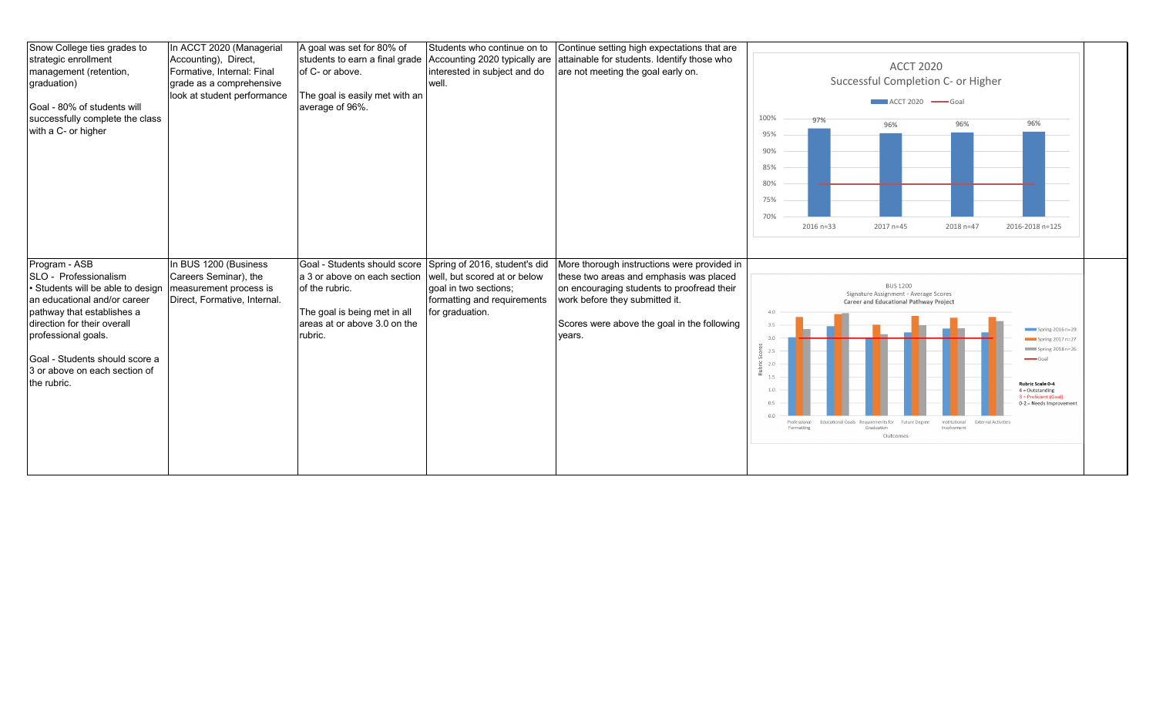| Snow College ties grades to<br>strategic enrollment<br>management (retention,<br>graduation)<br>Goal - 80% of students will<br>successfully complete the class<br>with a C- or higher                                                                                           | In ACCT 2020 (Managerial<br>Accounting), Direct,<br>Formative, Internal: Final<br>grade as a comprehensive<br>look at student performance | A goal was set for 80% of<br>students to earn a final grade<br>of C- or above.<br>The goal is easily met with an<br>average of 96%.                                                     | Students who continue on to<br>Accounting 2020 typically are<br>interested in subject and do<br>well.   | Continue setting high expectations that are<br>attainable for students. Identify those who<br>are not meeting the goal early on.                                                                                                | <b>ACCT 2020</b><br>Successful Completion C- or Higher<br>ACCT 2020 Goal<br>100%<br>97%<br>96%<br>96%<br>96%<br>95%<br>90%<br>85%<br>80%<br>75%<br>70%<br>2016-2018 n=125<br>$2016 n = 33$<br>2017 n=45<br>2018 n=47                                                                                                                                                                                                                                                                                                                    |
|---------------------------------------------------------------------------------------------------------------------------------------------------------------------------------------------------------------------------------------------------------------------------------|-------------------------------------------------------------------------------------------------------------------------------------------|-----------------------------------------------------------------------------------------------------------------------------------------------------------------------------------------|---------------------------------------------------------------------------------------------------------|---------------------------------------------------------------------------------------------------------------------------------------------------------------------------------------------------------------------------------|-----------------------------------------------------------------------------------------------------------------------------------------------------------------------------------------------------------------------------------------------------------------------------------------------------------------------------------------------------------------------------------------------------------------------------------------------------------------------------------------------------------------------------------------|
| Program - ASB<br>SLO - Professionalism<br>Students will be able to design<br>an educational and/or career<br>pathway that establishes a<br>direction for their overall<br>professional goals.<br>Goal - Students should score a<br>3 or above on each section of<br>the rubric. | In BUS 1200 (Business<br>Careers Seminar), the<br>measurement process is<br>Direct, Formative, Internal.                                  | Goal - Students should score Spring of 2016, student's did<br>a 3 or above on each section<br>of the rubric.<br>The goal is being met in all<br>areas at or above 3.0 on the<br>rubric. | well, but scored at or below<br>goal in two sections;<br>formatting and requirements<br>for graduation. | More thorough instructions were provided in<br>these two areas and emphasis was placed<br>on encouraging students to proofread their<br>work before they submitted it.<br>Scores were above the goal in the following<br>years. | <b>BUS 1200</b><br>Signature Assignment - Average Scores<br><b>Career and Educational Pathway Project</b><br>4.0<br>3.5<br>Spring 2016 n=29<br>3.0<br>Spring 2017 n=27<br>Spring 2018 n=26<br>2.5<br>$\overline{\phantom{0}}$ Goal<br>2.0<br>Rubric Scale 0-4<br>1.0<br>$4 =$ Outstanding<br>3 = Proficient (Goal)<br>0.5<br>0-2 = Needs Improvement<br>00<br>Professional<br>Educational Goals Requirements for<br>Future Degree<br>Institutional<br><b>External Activities</b><br>Formatting<br>Graduation<br>Involvement<br>Outcomes |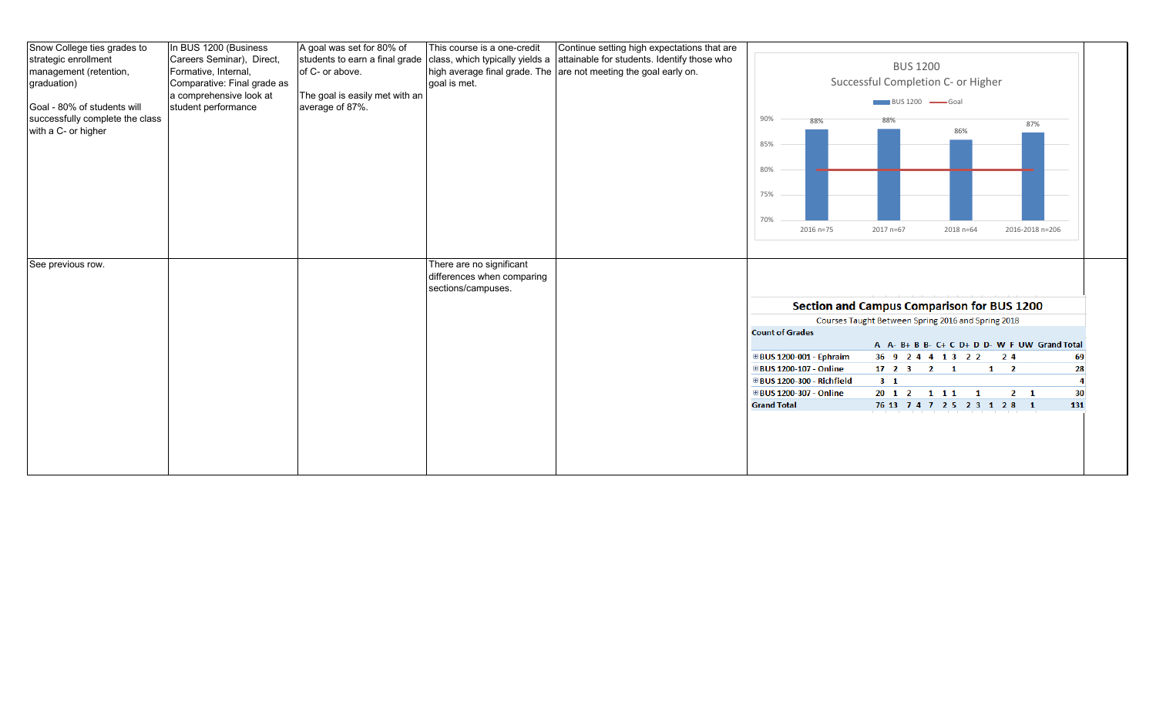| Snow College ties grades to<br>In BUS 1200 (Business<br>A goal was set for 80% of<br>Continue setting high expectations that are<br>This course is a one-credit<br>Careers Seminar), Direct,<br>students to earn a final grade<br>class, which typically yields a a attainable for students. Identify those who<br>strategic enrollment<br><b>BUS 1200</b><br>Formative, Internal,<br>of C- or above.<br>high average final grade. The are not meeting the goal early on.<br>Successful Completion C- or Higher<br>goal is met.<br>Comparative: Final grade as<br>a comprehensive look at<br>The goal is easily met with an<br>BUS 1200 Goal<br>student performance<br>average of 87%.<br>90%<br>88%<br>88%<br>87% |
|--------------------------------------------------------------------------------------------------------------------------------------------------------------------------------------------------------------------------------------------------------------------------------------------------------------------------------------------------------------------------------------------------------------------------------------------------------------------------------------------------------------------------------------------------------------------------------------------------------------------------------------------------------------------------------------------------------------------|
| management (retention,<br>graduation)                                                                                                                                                                                                                                                                                                                                                                                                                                                                                                                                                                                                                                                                              |
|                                                                                                                                                                                                                                                                                                                                                                                                                                                                                                                                                                                                                                                                                                                    |
|                                                                                                                                                                                                                                                                                                                                                                                                                                                                                                                                                                                                                                                                                                                    |
| Goal - 80% of students will<br>successfully complete the class                                                                                                                                                                                                                                                                                                                                                                                                                                                                                                                                                                                                                                                     |
|                                                                                                                                                                                                                                                                                                                                                                                                                                                                                                                                                                                                                                                                                                                    |
| with a C- or higher                                                                                                                                                                                                                                                                                                                                                                                                                                                                                                                                                                                                                                                                                                |
| 86%                                                                                                                                                                                                                                                                                                                                                                                                                                                                                                                                                                                                                                                                                                                |
| 85%                                                                                                                                                                                                                                                                                                                                                                                                                                                                                                                                                                                                                                                                                                                |
|                                                                                                                                                                                                                                                                                                                                                                                                                                                                                                                                                                                                                                                                                                                    |
| 80%                                                                                                                                                                                                                                                                                                                                                                                                                                                                                                                                                                                                                                                                                                                |
|                                                                                                                                                                                                                                                                                                                                                                                                                                                                                                                                                                                                                                                                                                                    |
|                                                                                                                                                                                                                                                                                                                                                                                                                                                                                                                                                                                                                                                                                                                    |
| 75%                                                                                                                                                                                                                                                                                                                                                                                                                                                                                                                                                                                                                                                                                                                |
|                                                                                                                                                                                                                                                                                                                                                                                                                                                                                                                                                                                                                                                                                                                    |
| 70%                                                                                                                                                                                                                                                                                                                                                                                                                                                                                                                                                                                                                                                                                                                |
| 2016 n=75<br>2017 n=67<br>2018 n=64<br>2016-2018 n=206                                                                                                                                                                                                                                                                                                                                                                                                                                                                                                                                                                                                                                                             |
|                                                                                                                                                                                                                                                                                                                                                                                                                                                                                                                                                                                                                                                                                                                    |
| There are no significant<br>See previous row.                                                                                                                                                                                                                                                                                                                                                                                                                                                                                                                                                                                                                                                                      |
| differences when comparing                                                                                                                                                                                                                                                                                                                                                                                                                                                                                                                                                                                                                                                                                         |
| sections/campuses.                                                                                                                                                                                                                                                                                                                                                                                                                                                                                                                                                                                                                                                                                                 |
|                                                                                                                                                                                                                                                                                                                                                                                                                                                                                                                                                                                                                                                                                                                    |
| Section and Campus Comparison for BUS 1200                                                                                                                                                                                                                                                                                                                                                                                                                                                                                                                                                                                                                                                                         |
| Courses Taught Between Spring 2016 and Spring 2018                                                                                                                                                                                                                                                                                                                                                                                                                                                                                                                                                                                                                                                                 |
| <b>Count of Grades</b>                                                                                                                                                                                                                                                                                                                                                                                                                                                                                                                                                                                                                                                                                             |
| A A- B+ B B- C+ C D+ D D- W F UW Grand Total                                                                                                                                                                                                                                                                                                                                                                                                                                                                                                                                                                                                                                                                       |
| <b><i>⊞BUS 1200-001 - Ephraim</i></b><br>36 9 2 4 4 1 3 2 2 2 2 4<br>69                                                                                                                                                                                                                                                                                                                                                                                                                                                                                                                                                                                                                                            |
| ⊞BUS 1200-107 - Online<br>$17$ 2 3 2 1<br>$1 \quad 2$<br>28                                                                                                                                                                                                                                                                                                                                                                                                                                                                                                                                                                                                                                                        |
| <b>⊞BUS 1200-300 - Richfield</b><br>3 <sub>1</sub>                                                                                                                                                                                                                                                                                                                                                                                                                                                                                                                                                                                                                                                                 |
| ⊞BUS 1200-307 - Online<br>20 1 2 1 1 1 1 1<br>30<br>$2 \quad 1$                                                                                                                                                                                                                                                                                                                                                                                                                                                                                                                                                                                                                                                    |
| <b>Grand Total</b><br>76 13 7 4 7 2 5 2 3 1 2 8 1<br>131                                                                                                                                                                                                                                                                                                                                                                                                                                                                                                                                                                                                                                                           |
|                                                                                                                                                                                                                                                                                                                                                                                                                                                                                                                                                                                                                                                                                                                    |
|                                                                                                                                                                                                                                                                                                                                                                                                                                                                                                                                                                                                                                                                                                                    |
|                                                                                                                                                                                                                                                                                                                                                                                                                                                                                                                                                                                                                                                                                                                    |
|                                                                                                                                                                                                                                                                                                                                                                                                                                                                                                                                                                                                                                                                                                                    |
|                                                                                                                                                                                                                                                                                                                                                                                                                                                                                                                                                                                                                                                                                                                    |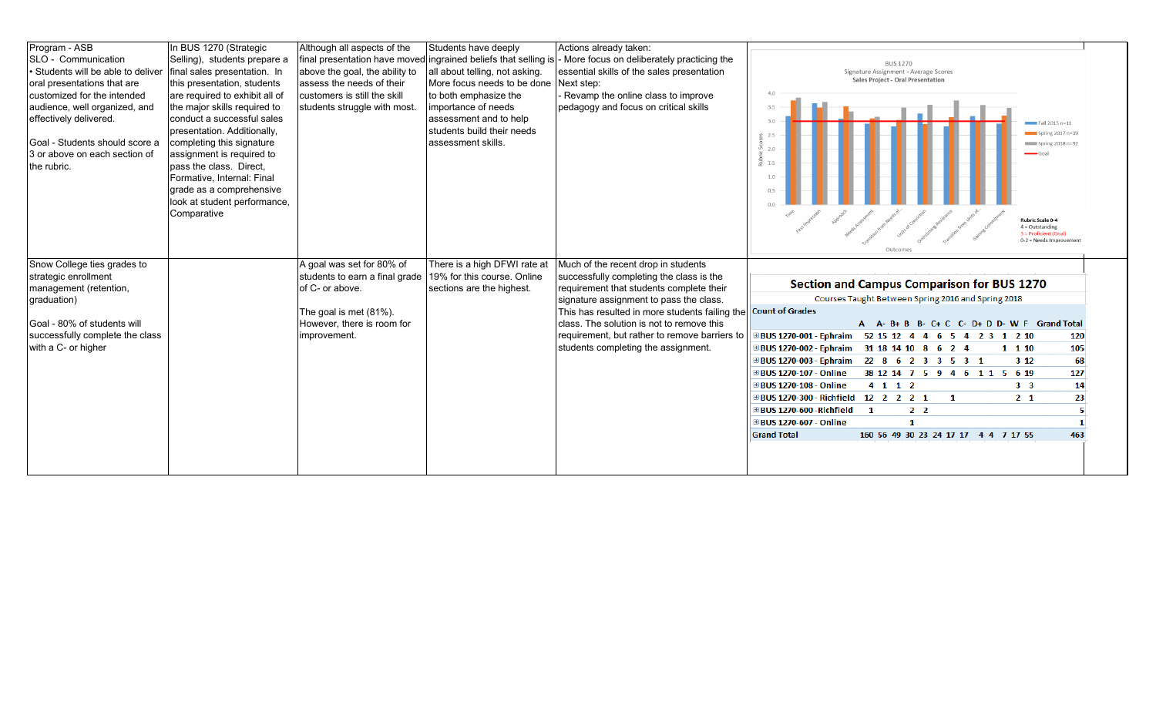| Program - ASB                    | In BUS 1270 (Strategic         | Although all aspects of the    | Students have deeply                                            | Actions already taken:                         |                                                                       |
|----------------------------------|--------------------------------|--------------------------------|-----------------------------------------------------------------|------------------------------------------------|-----------------------------------------------------------------------|
| SLO - Communication              | Selling), students prepare a   |                                | final presentation have moved ingrained beliefs that selling is | More focus on deliberately practicing the      |                                                                       |
| Students will be able to deliver | final sales presentation. In   | above the goal, the ability to | all about telling, not asking.                                  | essential skills of the sales presentation     | <b>BUS 1270</b><br>Signature Assignment - Average Scores              |
| oral presentations that are      | this presentation, students    | assess the needs of their      | More focus needs to be done                                     | Next step:                                     | Sales Project - Oral Presentation                                     |
| customized for the intended      | are required to exhibit all of | customers is still the skill   | to both emphasize the                                           | Revamp the online class to improve             | $\Delta$ $\Omega$                                                     |
| audience, well organized, and    | the major skills required to   | students struggle with most.   | importance of needs                                             | pedagogy and focus on critical skills          | 3.5                                                                   |
| effectively delivered.           | conduct a successful sales     |                                | assessment and to help                                          |                                                | 3.0                                                                   |
|                                  | presentation. Additionally,    |                                | students build their needs                                      |                                                | $\overline{\phantom{1}}$ Fall 2015 n=11<br>Spring $2017$ n=39         |
| Goal - Students should score a   | completing this signature      |                                | assessment skills.                                              |                                                | $\blacksquare$ Spring 2018 n=92                                       |
| 3 or above on each section of    | assignment is required to      |                                |                                                                 |                                                | 20                                                                    |
| the rubric.                      | pass the class. Direct,        |                                |                                                                 |                                                | 1.5                                                                   |
|                                  | Formative, Internal: Final     |                                |                                                                 |                                                | 1.0                                                                   |
|                                  | grade as a comprehensive       |                                |                                                                 |                                                |                                                                       |
|                                  | look at student performance,   |                                |                                                                 |                                                |                                                                       |
|                                  | Comparative                    |                                |                                                                 |                                                |                                                                       |
|                                  |                                |                                |                                                                 |                                                | <b>Rubric Scale 0-4</b><br>$4 =$ Outstanding                          |
|                                  |                                |                                |                                                                 |                                                | 3 = Proficient (Goal)<br>0-2 = Needs Improvement                      |
|                                  |                                |                                |                                                                 |                                                | Outcomes                                                              |
| Snow College ties grades to      |                                | A goal was set for 80% of      | There is a high DFWI rate at                                    | Much of the recent drop in students            |                                                                       |
| strategic enrollment             |                                | students to earn a final grade | 19% for this course. Online                                     | successfully completing the class is the       |                                                                       |
| management (retention,           |                                | of C- or above.                | sections are the highest.                                       | requirement that students complete their       | <b>Section and Campus Comparison for BUS 1270</b>                     |
| graduation)                      |                                |                                |                                                                 | signature assignment to pass the class.        | Courses Taught Between Spring 2016 and Spring 2018                    |
|                                  |                                | The goal is met (81%).         |                                                                 | This has resulted in more students failing the | <b>Count of Grades</b>                                                |
| Goal - 80% of students will      |                                | However, there is room for     |                                                                 | class. The solution is not to remove this      | A A-B+B B-C+C C-D+D D-W F Grand Total                                 |
| successfully complete the class  |                                | improvement.                   |                                                                 | requirement, but rather to remove barriers to  | ⊞BUS 1270-001 - Ephraim 52 15 12 4 4 6 5 4 2 3 1 2 10<br>120          |
| with a C- or higher              |                                |                                |                                                                 | students completing the assignment.            | 105<br>⊞BUS 1270-002 - Ephraim 31 18 14 10 8 6 2 4<br>1 1 10          |
|                                  |                                |                                |                                                                 |                                                |                                                                       |
|                                  |                                |                                |                                                                 |                                                | 68<br>⊞BUS 1270-003 - Ephraim 22 8 6 2 3 3 5 3 1<br>312               |
|                                  |                                |                                |                                                                 |                                                | <b>⊞BUS 1270-107 - Online</b><br>38 12 14 7 5 9 4 6 1 1 5 6 19<br>127 |
|                                  |                                |                                |                                                                 |                                                | ⊞BUS 1270-108 - Online<br>14<br>4 1 1 2<br>3 <sub>3</sub>             |
|                                  |                                |                                |                                                                 |                                                | 23<br>⊞BUS 1270-300 - Richfield 12 2 2 2 1<br>2 <sub>1</sub><br>-1    |
|                                  |                                |                                |                                                                 |                                                | ⊞ BUS 1270-600 -Richfield<br>2 <sub>2</sub><br>$\mathbf{1}$           |
|                                  |                                |                                |                                                                 |                                                | ⊞BUS 1270-607 - Online<br>-1                                          |
|                                  |                                |                                |                                                                 |                                                | <b>Grand Total</b><br>463<br>160 56 49 30 23 24 17 17 4 4 7 17 55     |
|                                  |                                |                                |                                                                 |                                                |                                                                       |
|                                  |                                |                                |                                                                 |                                                |                                                                       |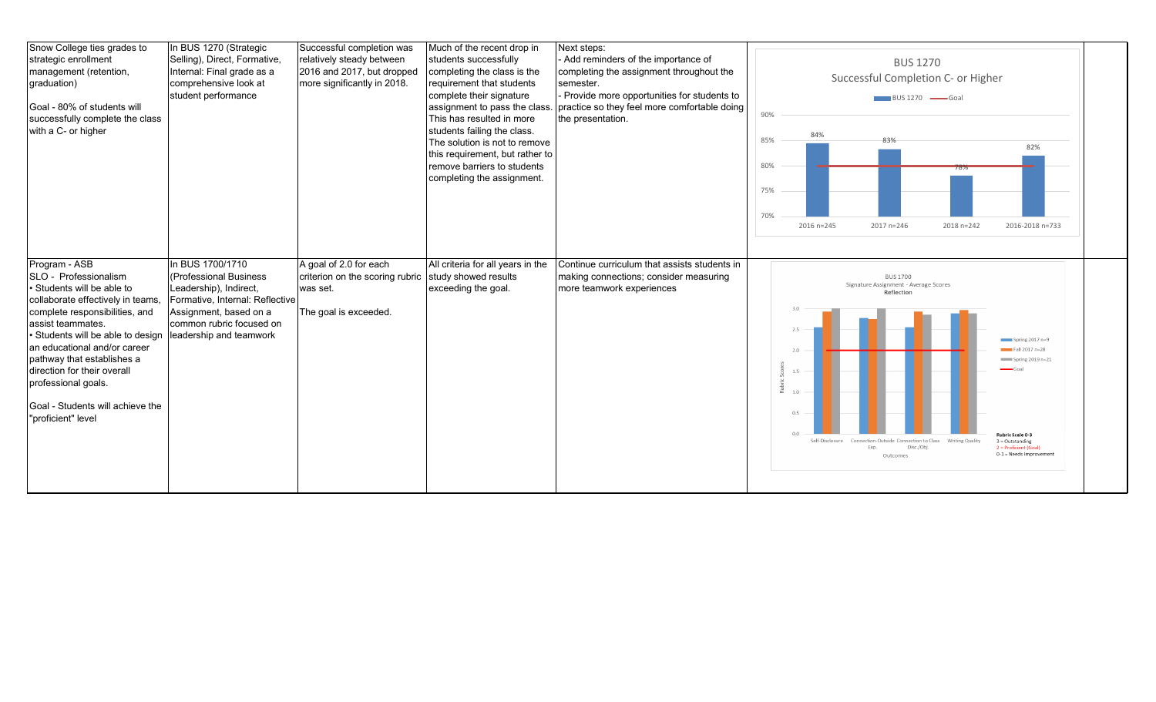| Snow College ties grades to<br>strategic enrollment<br>management (retention,<br>graduation)<br>Goal - 80% of students will<br>successfully complete the class<br>with a C- or higher                                                                                                                                                                                               | In BUS 1270 (Strategic<br>Selling), Direct, Formative,<br>Internal: Final grade as a<br>comprehensive look at<br>student performance                                                     | Successful completion was<br>relatively steady between<br>2016 and 2017, but dropped<br>more significantly in 2018. | Much of the recent drop in<br>students successfully<br>completing the class is the<br>requirement that students<br>complete their signature<br>assignment to pass the class.<br>This has resulted in more<br>students failing the class.<br>The solution is not to remove<br>this requirement, but rather to<br>remove barriers to students<br>completing the assignment. | Next steps:<br>Add reminders of the importance of<br>completing the assignment throughout the<br>semester.<br>Provide more opportunities for students to<br>practice so they feel more comfortable doing<br>the presentation. | 90%<br>85%<br>80%<br>75%<br>70% | 84%<br>2016 n=245                                         | <b>BUS 1270</b><br>Successful Completion C- or Higher<br>BUS 1270 Goal<br>83%<br>2017 n=246                                                                        | 2018 n=242 | 82%<br>2016-2018 n=733                                                                                                                                |
|-------------------------------------------------------------------------------------------------------------------------------------------------------------------------------------------------------------------------------------------------------------------------------------------------------------------------------------------------------------------------------------|------------------------------------------------------------------------------------------------------------------------------------------------------------------------------------------|---------------------------------------------------------------------------------------------------------------------|---------------------------------------------------------------------------------------------------------------------------------------------------------------------------------------------------------------------------------------------------------------------------------------------------------------------------------------------------------------------------|-------------------------------------------------------------------------------------------------------------------------------------------------------------------------------------------------------------------------------|---------------------------------|-----------------------------------------------------------|--------------------------------------------------------------------------------------------------------------------------------------------------------------------|------------|-------------------------------------------------------------------------------------------------------------------------------------------------------|
| Program - ASB<br>SLO - Professionalism<br>• Students will be able to<br>collaborate effectively in teams,<br>complete responsibilities, and<br>assist teammates.<br>• Students will be able to design<br>an educational and/or career<br>pathway that establishes a<br>direction for their overall<br>professional goals.<br>Goal - Students will achieve the<br>"proficient" level | In BUS 1700/1710<br>(Professional Business<br>Leadership), Indirect,<br>Formative, Internal: Reflective<br>Assignment, based on a<br>common rubric focused on<br>leadership and teamwork | A goal of 2.0 for each<br>criterion on the scoring rubric study showed results<br>was set.<br>The goal is exceeded. | All criteria for all years in the<br>exceeding the goal.                                                                                                                                                                                                                                                                                                                  | Continue curriculum that assists students in<br>making connections; consider measuring<br>more teamwork experiences                                                                                                           |                                 | 2.5<br>2.0<br>1.5<br>1.0<br>0.5<br>0.0<br>Self-Disclosure | <b>BUS 1700</b><br>Signature Assignment - Average Scores<br>Reflection<br>Connection-Outside Connection to Class Writing Quality<br>Disc./Obj.<br>Exp.<br>Outcomes |            | Spring $2017n=9$<br>$Fall 2017 n=28$<br>Spring 2019 n=21<br>Rubric Scale 0-3<br>$3 =$ Outstanding<br>2 = Proficient (Goal)<br>0-1 = Needs Improvement |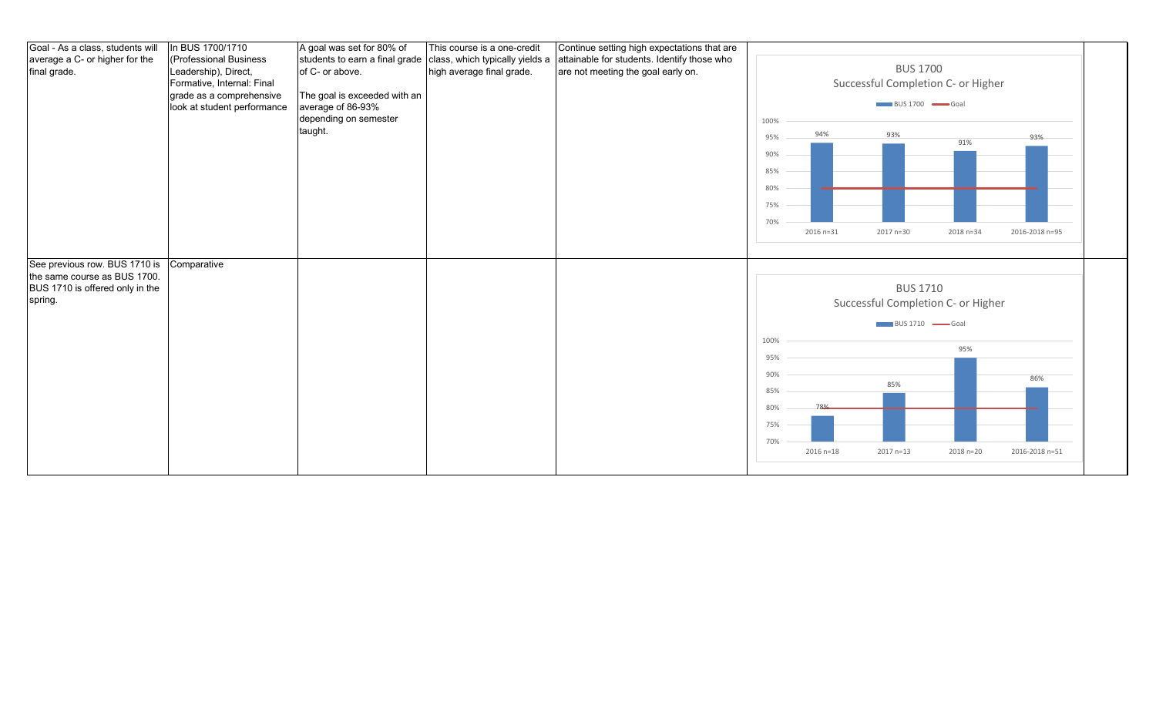| Goal - As a class, students will | In BUS 1700/1710            | A goal was set for 80% of      | This course is a one-credit     | Continue setting high expectations that are |      |               |                                   |                                    |                |
|----------------------------------|-----------------------------|--------------------------------|---------------------------------|---------------------------------------------|------|---------------|-----------------------------------|------------------------------------|----------------|
| average a C- or higher for the   | (Professional Business      | students to earn a final grade | class, which typically yields a | attainable for students. Identify those who |      |               |                                   |                                    |                |
| final grade.                     | Leadership), Direct,        | of C- or above.                | high average final grade.       | are not meeting the goal early on.          |      |               | <b>BUS 1700</b>                   |                                    |                |
|                                  | Formative, Internal: Final  |                                |                                 |                                             |      |               |                                   | Successful Completion C- or Higher |                |
|                                  | grade as a comprehensive    | The goal is exceeded with an   |                                 |                                             |      |               |                                   |                                    |                |
|                                  | look at student performance | average of 86-93%              |                                 |                                             |      |               | $\Box$ BUS 1700 $\Box$ Goal       |                                    |                |
|                                  |                             | depending on semester          |                                 |                                             | 100% |               |                                   |                                    |                |
|                                  |                             | taught.                        |                                 |                                             | 95%  | 94%           | 93%                               |                                    | 93%            |
|                                  |                             |                                |                                 |                                             |      |               |                                   | 91%                                |                |
|                                  |                             |                                |                                 |                                             | 90%  |               |                                   |                                    |                |
|                                  |                             |                                |                                 |                                             | 85%  |               |                                   |                                    |                |
|                                  |                             |                                |                                 |                                             | 80%  |               |                                   |                                    |                |
|                                  |                             |                                |                                 |                                             |      |               |                                   |                                    |                |
|                                  |                             |                                |                                 |                                             | 75%  |               |                                   |                                    |                |
|                                  |                             |                                |                                 |                                             | 70%  |               |                                   |                                    |                |
|                                  |                             |                                |                                 |                                             |      | 2016 n=31     | 2017 n=30                         | 2018 n=34                          | 2016-2018 n=95 |
|                                  |                             |                                |                                 |                                             |      |               |                                   |                                    |                |
| See previous row. BUS 1710 is    | Comparative                 |                                |                                 |                                             |      |               |                                   |                                    |                |
| the same course as BUS 1700.     |                             |                                |                                 |                                             |      |               |                                   |                                    |                |
|                                  |                             |                                |                                 |                                             |      |               | <b>BUS 1710</b>                   |                                    |                |
| BUS 1710 is offered only in the  |                             |                                |                                 |                                             |      |               |                                   |                                    |                |
| spring.                          |                             |                                |                                 |                                             |      |               |                                   | Successful Completion C- or Higher |                |
|                                  |                             |                                |                                 |                                             |      |               |                                   |                                    |                |
|                                  |                             |                                |                                 |                                             |      |               | $BUS 1710$ $\longrightarrow$ Goal |                                    |                |
|                                  |                             |                                |                                 |                                             | 100% |               |                                   |                                    |                |
|                                  |                             |                                |                                 |                                             | 95%  |               |                                   | 95%                                |                |
|                                  |                             |                                |                                 |                                             |      |               |                                   |                                    |                |
|                                  |                             |                                |                                 |                                             | 90%  |               |                                   |                                    | 86%            |
|                                  |                             |                                |                                 |                                             | 85%  |               | 85%                               |                                    |                |
|                                  |                             |                                |                                 |                                             | 80%  |               |                                   |                                    |                |
|                                  |                             |                                |                                 |                                             |      |               |                                   |                                    |                |
|                                  |                             |                                |                                 |                                             | 75%  |               |                                   |                                    |                |
|                                  |                             |                                |                                 |                                             | 70%  |               |                                   |                                    |                |
|                                  |                             |                                |                                 |                                             |      | $2016 n = 18$ | 2017 n=13                         | 2018 n=20                          | 2016-2018 n=51 |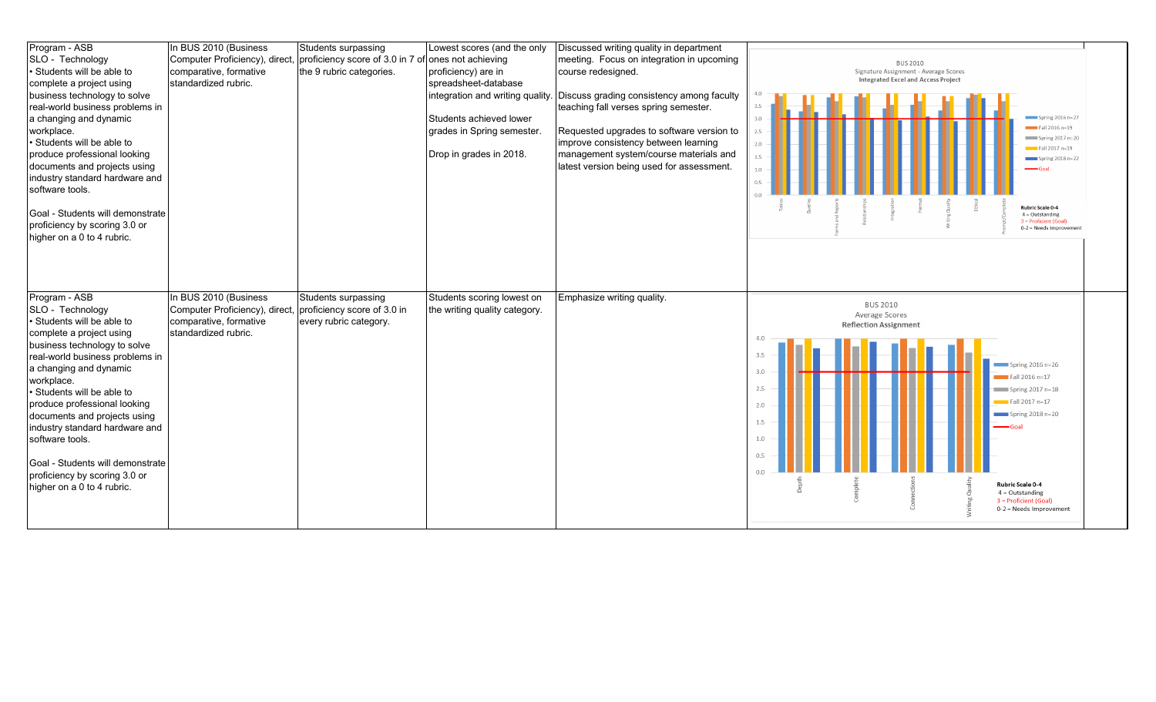| Program - ASB                    | In BUS 2010 (Business          | Students surpassing                                 | Lowest scores (and the only      | Discussed writing quality in department   |                                                  |
|----------------------------------|--------------------------------|-----------------------------------------------------|----------------------------------|-------------------------------------------|--------------------------------------------------|
| SLO - Technology                 | Computer Proficiency), direct, | proficiency score of 3.0 in 7 of ones not achieving |                                  | meeting. Focus on integration in upcoming | <b>BUS 2010</b>                                  |
| · Students will be able to       | comparative, formative         | the 9 rubric categories.                            | proficiency) are in              | course redesigned.                        | Signature Assignment - Average Scores            |
| complete a project using         | standardized rubric.           |                                                     | spreadsheet-database             |                                           | <b>Integrated Excel and Access Project</b>       |
| business technology to solve     |                                |                                                     | integration and writing quality. | Discuss grading consistency among faculty | 4.0                                              |
| real-world business problems in  |                                |                                                     |                                  | teaching fall verses spring semester.     | 3.5                                              |
| a changing and dynamic           |                                |                                                     | Students achieved lower          |                                           | Spring $2016n=27$<br>3.0                         |
| workplace.                       |                                |                                                     | grades in Spring semester.       | Requested upgrades to software version to | Fall 2016 n=19<br>2.5                            |
| · Students will be able to       |                                |                                                     |                                  | improve consistency between learning      | Spring 2017 n=20<br>2.0<br>$Fall 2017 n=19$      |
| produce professional looking     |                                |                                                     | Drop in grades in 2018.          | management system/course materials and    | 1.5<br>Spring $2018n=22$                         |
| documents and projects using     |                                |                                                     |                                  | latest version being used for assessment. | $-$ Goal<br>1.0                                  |
| industry standard hardware and   |                                |                                                     |                                  |                                           | 0.5                                              |
| software tools.                  |                                |                                                     |                                  |                                           | 0.0                                              |
|                                  |                                |                                                     |                                  |                                           | Rubric Scale 0-4                                 |
| Goal - Students will demonstrate |                                |                                                     |                                  |                                           | $4 =$ Outstanding<br>3 = Proficient (Goal)       |
| proficiency by scoring 3.0 or    |                                |                                                     |                                  |                                           | 0-2 = Needs Improvement                          |
| higher on a 0 to 4 rubric.       |                                |                                                     |                                  |                                           |                                                  |
|                                  |                                |                                                     |                                  |                                           |                                                  |
|                                  |                                |                                                     |                                  |                                           |                                                  |
|                                  |                                |                                                     |                                  |                                           |                                                  |
|                                  |                                |                                                     |                                  |                                           |                                                  |
|                                  |                                |                                                     |                                  |                                           |                                                  |
| Program - ASB                    | In BUS 2010 (Business          | Students surpassing                                 | Students scoring lowest on       | Emphasize writing quality.                |                                                  |
| SLO - Technology                 | Computer Proficiency), direct  | proficiency score of 3.0 in                         | the writing quality category.    |                                           | <b>BUS 2010</b><br>Average Scores                |
| • Students will be able to       | comparative, formative         | every rubric category.                              |                                  |                                           | <b>Reflection Assignment</b>                     |
| complete a project using         | standardized rubric.           |                                                     |                                  |                                           | 4.0                                              |
| business technology to solve     |                                |                                                     |                                  |                                           |                                                  |
| real-world business problems in  |                                |                                                     |                                  |                                           | 3.5<br>$Spring 2016 n=26$                        |
| a changing and dynamic           |                                |                                                     |                                  |                                           | 3.0<br>$Fall 2016 n=17$                          |
| workplace.                       |                                |                                                     |                                  |                                           | 2.5                                              |
| · Students will be able to       |                                |                                                     |                                  |                                           | $\equiv$ Spring 2017 n=18                        |
| produce professional looking     |                                |                                                     |                                  |                                           | $\equiv$ Fall 2017 n=17<br>2.0                   |
| documents and projects using     |                                |                                                     |                                  |                                           | $\frac{1}{2}$ Spring 2018 n=20<br>1.5            |
| industry standard hardware and   |                                |                                                     |                                  |                                           | $-Goa$                                           |
| software tools.                  |                                |                                                     |                                  |                                           | 1.0                                              |
|                                  |                                |                                                     |                                  |                                           | 0.5                                              |
| Goal - Students will demonstrate |                                |                                                     |                                  |                                           | 0.0                                              |
| proficiency by scoring 3.0 or    |                                |                                                     |                                  |                                           | Rubric Scale 0-4                                 |
| higher on a 0 to 4 rubric.       |                                |                                                     |                                  |                                           | $4 =$ Outstanding                                |
|                                  |                                |                                                     |                                  |                                           | 3 = Proficient (Goal)<br>0-2 = Needs Improvement |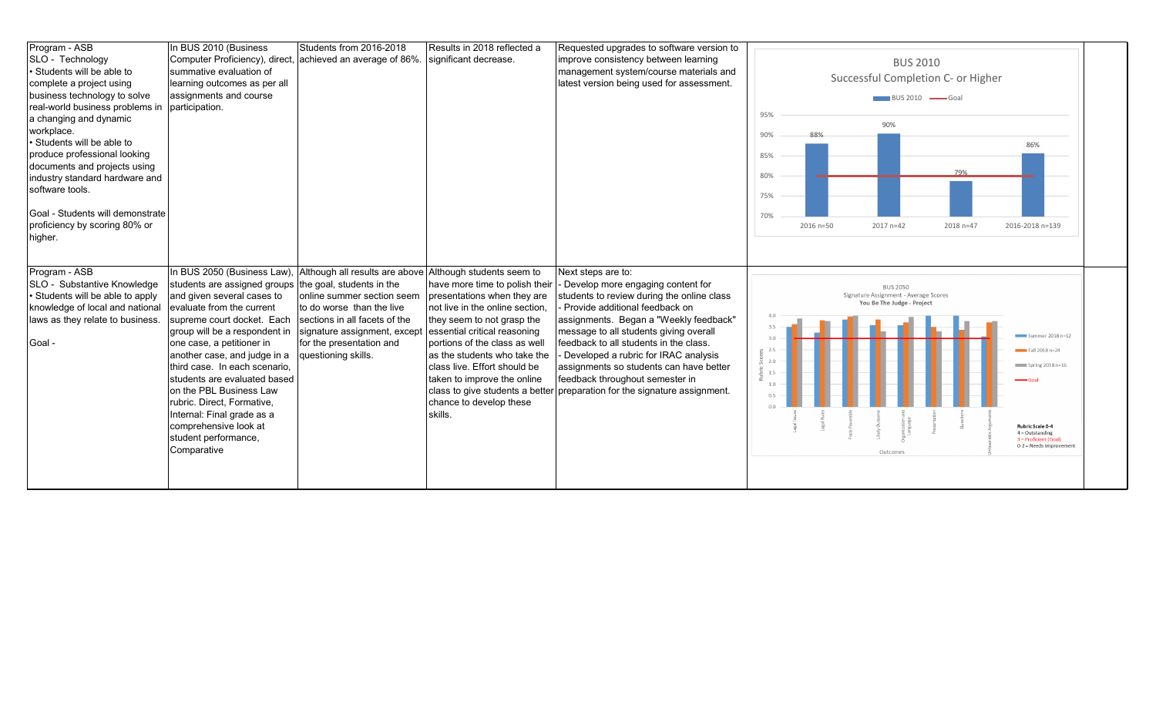| Program - ASB                                  | In BUS 2010 (Business                                  | Students from 2016-2018        | Results in 2018 reflected a     | Requested upgrades to software version to  |     |           |                                       |                                    |                                            |
|------------------------------------------------|--------------------------------------------------------|--------------------------------|---------------------------------|--------------------------------------------|-----|-----------|---------------------------------------|------------------------------------|--------------------------------------------|
| SLO - Technology                               | Computer Proficiency), direct,                         | achieved an average of 86%.    | significant decrease.           | improve consistency between learning       |     |           | <b>BUS 2010</b>                       |                                    |                                            |
| Students will be able to                       | summative evaluation of                                |                                |                                 | management system/course materials and     |     |           |                                       |                                    |                                            |
| complete a project using                       | learning outcomes as per all                           |                                |                                 | latest version being used for assessment.  |     |           |                                       | Successful Completion C- or Higher |                                            |
| business technology to solve                   | assignments and course                                 |                                |                                 |                                            |     |           | $\Box$ BUS 2010 $\Box$ Goal           |                                    |                                            |
| real-world business problems in participation. |                                                        |                                |                                 |                                            |     |           |                                       |                                    |                                            |
| a changing and dynamic                         |                                                        |                                |                                 |                                            | 95% |           | 90%                                   |                                    |                                            |
| workplace.                                     |                                                        |                                |                                 |                                            | 90% |           |                                       |                                    |                                            |
| Students will be able to                       |                                                        |                                |                                 |                                            |     |           |                                       |                                    | 86%                                        |
| produce professional looking                   |                                                        |                                |                                 |                                            | 85% |           |                                       |                                    |                                            |
| documents and projects using                   |                                                        |                                |                                 |                                            |     |           |                                       | 79%                                |                                            |
| industry standard hardware and                 |                                                        |                                |                                 |                                            | 80% |           |                                       |                                    |                                            |
| software tools.                                |                                                        |                                |                                 |                                            | 75% |           |                                       |                                    |                                            |
|                                                |                                                        |                                |                                 |                                            |     |           |                                       |                                    |                                            |
| Goal - Students will demonstrate               |                                                        |                                |                                 |                                            | 70% |           |                                       |                                    |                                            |
| proficiency by scoring 80% or                  |                                                        |                                |                                 |                                            |     | 2016 n=50 | 2017 n=42                             | 2018 n=47                          | 2016-2018 n=139                            |
| higher.                                        |                                                        |                                |                                 |                                            |     |           |                                       |                                    |                                            |
|                                                |                                                        |                                |                                 |                                            |     |           |                                       |                                    |                                            |
|                                                |                                                        |                                |                                 |                                            |     |           |                                       |                                    |                                            |
|                                                |                                                        |                                |                                 |                                            |     |           |                                       |                                    |                                            |
| Program - ASB                                  | In BUS 2050 (Business Law),                            | Although all results are above | Although students seem to       | Next steps are to:                         |     |           |                                       |                                    |                                            |
| SLO - Substantive Knowledge                    | students are assigned groups the goal, students in the |                                | have more time to polish their  | Develop more engaging content for          |     |           | <b>BUS 2050</b>                       |                                    |                                            |
| Students will be able to apply                 | and given several cases to                             | online summer section seem     | presentations when they are     | students to review during the online class |     |           | Signature Assignment - Average Scores |                                    |                                            |
| knowledge of local and national                | evaluate from the current                              | to do worse than the live      | not live in the online section. | Provide additional feedback on             |     |           | You Be The Judge - Project            |                                    |                                            |
| laws as they relate to business.               | supreme court docket. Each                             | sections in all facets of the  | they seem to not grasp the      | assignments. Began a "Weekly feedback"     |     |           |                                       |                                    |                                            |
|                                                | group will be a respondent in                          | signature assignment, except   | essential critical reasoning    | message to all students giving overall     |     |           |                                       |                                    | Summer 2018 n=12                           |
| Goal -                                         | one case, a petitioner in                              | for the presentation and       | portions of the class as well   | feedback to all students in the class.     | 30  |           |                                       |                                    |                                            |
|                                                | another case, and judge in a                           | questioning skills.            | as the students who take the    | Developed a rubric for IRAC analysis       | 2.0 |           |                                       |                                    | $Fall 2018 n=24$                           |
|                                                | third case. In each scenario,                          |                                | class live. Effort should be    | assignments so students can have better    | 1.5 |           |                                       |                                    | Spring 2018 n=16                           |
|                                                | students are evaluated based                           |                                | taken to improve the online     | feedback throughout semester in            | 1.0 |           |                                       |                                    | $-$ Goal                                   |
|                                                | on the PBL Business Law                                |                                | class to give students a better | preparation for the signature assignment.  |     |           |                                       |                                    |                                            |
|                                                | rubric. Direct, Formative,                             |                                | chance to develop these         |                                            |     |           |                                       |                                    |                                            |
|                                                | Internal: Final grade as a                             |                                | skills.                         |                                            |     |           |                                       |                                    |                                            |
|                                                | comprehensive look at                                  |                                |                                 |                                            |     |           |                                       |                                    | Rubric Scale 0-4                           |
|                                                | student performance,                                   |                                |                                 |                                            |     |           |                                       |                                    | $4 =$ Outstanding<br>3 = Proficient (Goal) |
|                                                | Comparative                                            |                                |                                 |                                            |     |           | Outcomes                              |                                    | 0-2 = Needs Improvement                    |
|                                                |                                                        |                                |                                 |                                            |     |           |                                       |                                    |                                            |
|                                                |                                                        |                                |                                 |                                            |     |           |                                       |                                    |                                            |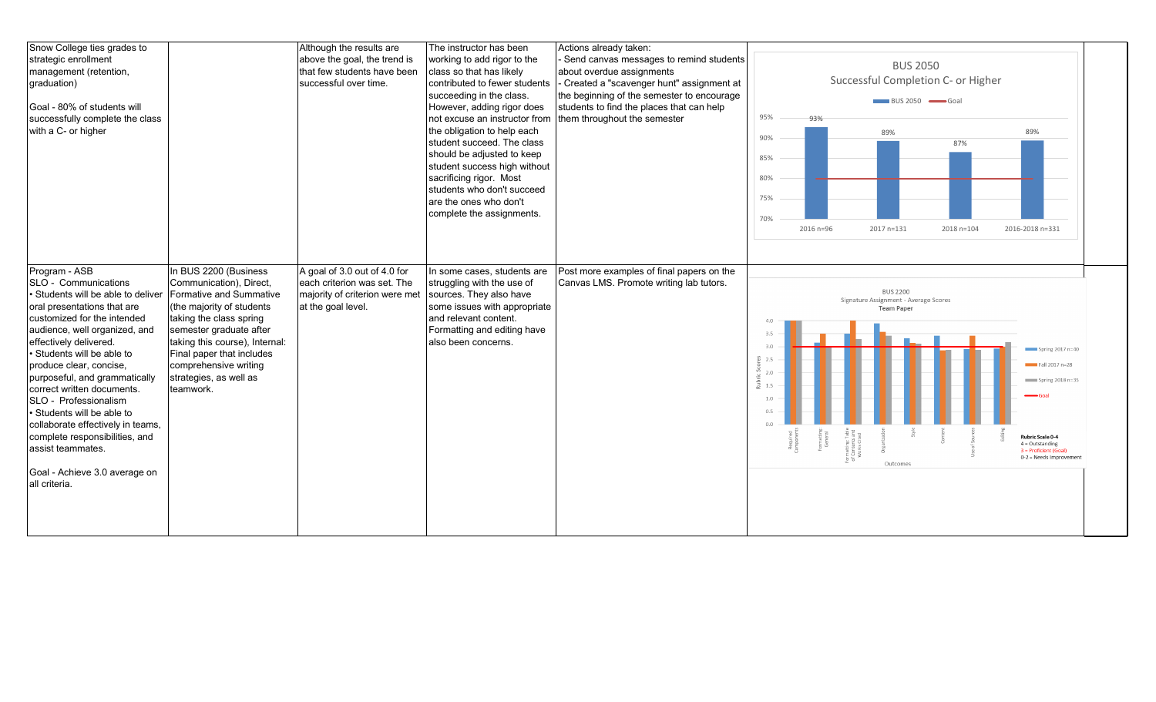| Snow College ties grades to<br>strategic enrollment<br>management (retention,<br>graduation)<br>Goal - 80% of students will<br>successfully complete the class<br>with a C- or higher                                                                                                                                                                                                                                                                                                                                             |                                                                                                                                                                                                                                                                                               | Although the results are<br>above the goal, the trend is<br>that few students have been<br>successful over time.    | The instructor has been<br>working to add rigor to the<br>class so that has likely<br>contributed to fewer students<br>succeeding in the class.<br>However, adding rigor does<br>Inot excuse an instructor from<br>the obligation to help each<br>student succeed. The class<br>should be adjusted to keep<br>student success high without<br>sacrificing rigor. Most<br>students who don't succeed<br>are the ones who don't<br>complete the assignments. | Actions already taken:<br>Send canvas messages to remind students<br>about overdue assignments<br>Created a "scavenger hunt" assignment at<br>the beginning of the semester to encourage<br>students to find the places that can help<br>them throughout the semester | <b>BUS 2050</b><br>Successful Completion C- or Higher<br>BUS 2050 Goal<br>95%<br>93%<br>89%<br>89%<br>90%<br>87%<br>85%<br>80%<br>75%<br>70%<br>2016 n=96<br>2017 n=131<br>2018 n=104<br>2016-2018 n=331                                                                                                                                                 |
|-----------------------------------------------------------------------------------------------------------------------------------------------------------------------------------------------------------------------------------------------------------------------------------------------------------------------------------------------------------------------------------------------------------------------------------------------------------------------------------------------------------------------------------|-----------------------------------------------------------------------------------------------------------------------------------------------------------------------------------------------------------------------------------------------------------------------------------------------|---------------------------------------------------------------------------------------------------------------------|------------------------------------------------------------------------------------------------------------------------------------------------------------------------------------------------------------------------------------------------------------------------------------------------------------------------------------------------------------------------------------------------------------------------------------------------------------|-----------------------------------------------------------------------------------------------------------------------------------------------------------------------------------------------------------------------------------------------------------------------|----------------------------------------------------------------------------------------------------------------------------------------------------------------------------------------------------------------------------------------------------------------------------------------------------------------------------------------------------------|
| Program - ASB<br>SLO - Communications<br>· Students will be able to deliver<br>oral presentations that are<br>customized for the intended<br>audience, well organized, and<br>effectively delivered.<br>• Students will be able to<br>produce clear, concise,<br>purposeful, and grammatically<br>correct written documents.<br>SLO - Professionalism<br>• Students will be able to<br>collaborate effectively in teams,<br>complete responsibilities, and<br>assist teammates.<br>Goal - Achieve 3.0 average on<br>all criteria. | In BUS 2200 (Business<br>Communication), Direct,<br>Formative and Summative<br>(the majority of students<br>taking the class spring<br>semester graduate after<br>taking this course), Internal:<br>Final paper that includes<br>comprehensive writing<br>strategies, as well as<br>teamwork. | A goal of 3.0 out of 4.0 for<br>each criterion was set. The<br>majority of criterion were met<br>at the goal level. | In some cases, students are<br>struggling with the use of<br>sources. They also have<br>some issues with appropriate<br>and relevant content.<br>Formatting and editing have<br>also been concerns.                                                                                                                                                                                                                                                        | Post more examples of final papers on the<br>Canvas LMS. Promote writing lab tutors.                                                                                                                                                                                  | <b>BUS 2200</b><br>Signature Assignment - Average Scores<br><b>Team Paper</b><br>4.0<br>3.5<br>3.0<br>Spring 2017 n=40<br>32.5<br>Fall 2017 n=28<br>2.0<br>Spring 2018 n=35<br>1.5<br>1.0<br>05<br>matting:Table<br>Contents and<br>Works Cited<br>Rubric Scale 0-4<br>$4 =$ Outstanding<br>3 = Proficient (Goal)<br>0-2 = Needs Improvement<br>Outcomes |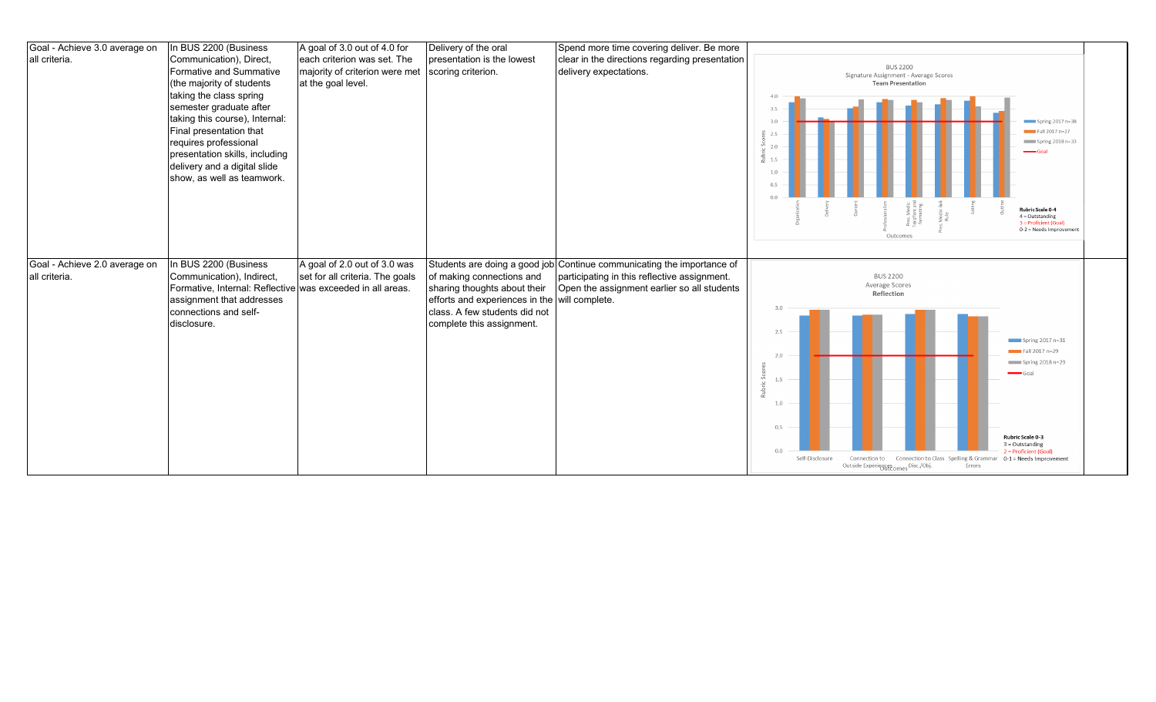| Goal - Achieve 3.0 average on | In BUS 2200 (Business                                      | A goal of 3.0 out of 4.0 for    | Delivery of the oral                          | Spend more time covering deliver. Be more                              |                                                                                                                                   |  |
|-------------------------------|------------------------------------------------------------|---------------------------------|-----------------------------------------------|------------------------------------------------------------------------|-----------------------------------------------------------------------------------------------------------------------------------|--|
| all criteria.                 | Communication), Direct,                                    | each criterion was set. The     | presentation is the lowest                    | clear in the directions regarding presentation                         |                                                                                                                                   |  |
|                               | Formative and Summative                                    | majority of criterion were met  | scoring criterion.                            | delivery expectations.                                                 | <b>BUS 2200</b><br>Signature Assignment - Average Scores                                                                          |  |
|                               | (the majority of students                                  | at the goal level.              |                                               |                                                                        | <b>Team Presentation</b>                                                                                                          |  |
|                               | taking the class spring                                    |                                 |                                               |                                                                        | 4.0                                                                                                                               |  |
|                               | semester graduate after                                    |                                 |                                               |                                                                        | 3.5                                                                                                                               |  |
|                               | taking this course), Internal:                             |                                 |                                               |                                                                        | Spring 2017 n=38<br>3.0                                                                                                           |  |
|                               | Final presentation that                                    |                                 |                                               |                                                                        | $Fall 2017 n=27$                                                                                                                  |  |
|                               | requires professional                                      |                                 |                                               |                                                                        | $\sqrt{5}$ Spring 2018 n=33                                                                                                       |  |
|                               | presentation skills, including                             |                                 |                                               |                                                                        | $\longrightarrow$ Goal                                                                                                            |  |
|                               | delivery and a digital slide                               |                                 |                                               |                                                                        | 1.5                                                                                                                               |  |
|                               | show, as well as teamwork.                                 |                                 |                                               |                                                                        | 1.0                                                                                                                               |  |
|                               |                                                            |                                 |                                               |                                                                        | 0.5                                                                                                                               |  |
|                               |                                                            |                                 |                                               |                                                                        | <b>Rubric Scale 0-4</b>                                                                                                           |  |
|                               |                                                            |                                 |                                               |                                                                        | $\leq \frac{1}{2}$ if<br>$4 =$ Outstanding<br>i 동등<br>6cm<br>3 = Proficient (Goal)                                                |  |
|                               |                                                            |                                 |                                               |                                                                        | 0-2 = Needs Improvement<br>Outcomes                                                                                               |  |
|                               |                                                            |                                 |                                               |                                                                        |                                                                                                                                   |  |
|                               |                                                            |                                 |                                               |                                                                        |                                                                                                                                   |  |
|                               |                                                            |                                 |                                               |                                                                        |                                                                                                                                   |  |
| Goal - Achieve 2.0 average on | In BUS 2200 (Business                                      | A goal of 2.0 out of 3.0 was    |                                               | Students are doing a good job Continue communicating the importance of |                                                                                                                                   |  |
| all criteria.                 | Communication), Indirect,                                  | set for all criteria. The goals | of making connections and                     | participating in this reflective assignment.                           | <b>BUS 2200</b>                                                                                                                   |  |
|                               | Formative, Internal: Reflective was exceeded in all areas. |                                 | sharing thoughts about their                  | Open the assignment earlier so all students                            | Average Scores<br>Reflection                                                                                                      |  |
|                               | assignment that addresses                                  |                                 | efforts and experiences in the will complete. |                                                                        |                                                                                                                                   |  |
|                               | connections and self-                                      |                                 | class. A few students did not                 |                                                                        | 3.0                                                                                                                               |  |
|                               | disclosure.                                                |                                 | complete this assignment.                     |                                                                        |                                                                                                                                   |  |
|                               |                                                            |                                 |                                               |                                                                        | 2.5<br>$\sqrt{15}$ Spring 2017 n=31                                                                                               |  |
|                               |                                                            |                                 |                                               |                                                                        | $Fall 2017 n=29$                                                                                                                  |  |
|                               |                                                            |                                 |                                               |                                                                        | 2.0<br>$\equiv$ Spring 2018 n=29                                                                                                  |  |
|                               |                                                            |                                 |                                               |                                                                        | $-$ Goal<br>Sc                                                                                                                    |  |
|                               |                                                            |                                 |                                               |                                                                        | 1.5                                                                                                                               |  |
|                               |                                                            |                                 |                                               |                                                                        |                                                                                                                                   |  |
|                               |                                                            |                                 |                                               |                                                                        | 1.0                                                                                                                               |  |
|                               |                                                            |                                 |                                               |                                                                        |                                                                                                                                   |  |
|                               |                                                            |                                 |                                               |                                                                        | 0.5                                                                                                                               |  |
|                               |                                                            |                                 |                                               |                                                                        | Rubric Scale 0-3<br>$3 =$ Outstanding                                                                                             |  |
|                               |                                                            |                                 |                                               |                                                                        | 0.0<br>2 = Proficient (Goal<br>Self-Disclosure<br>Connection to Class Spelling & Grammar 0-1 = Needs Improvement<br>Connection to |  |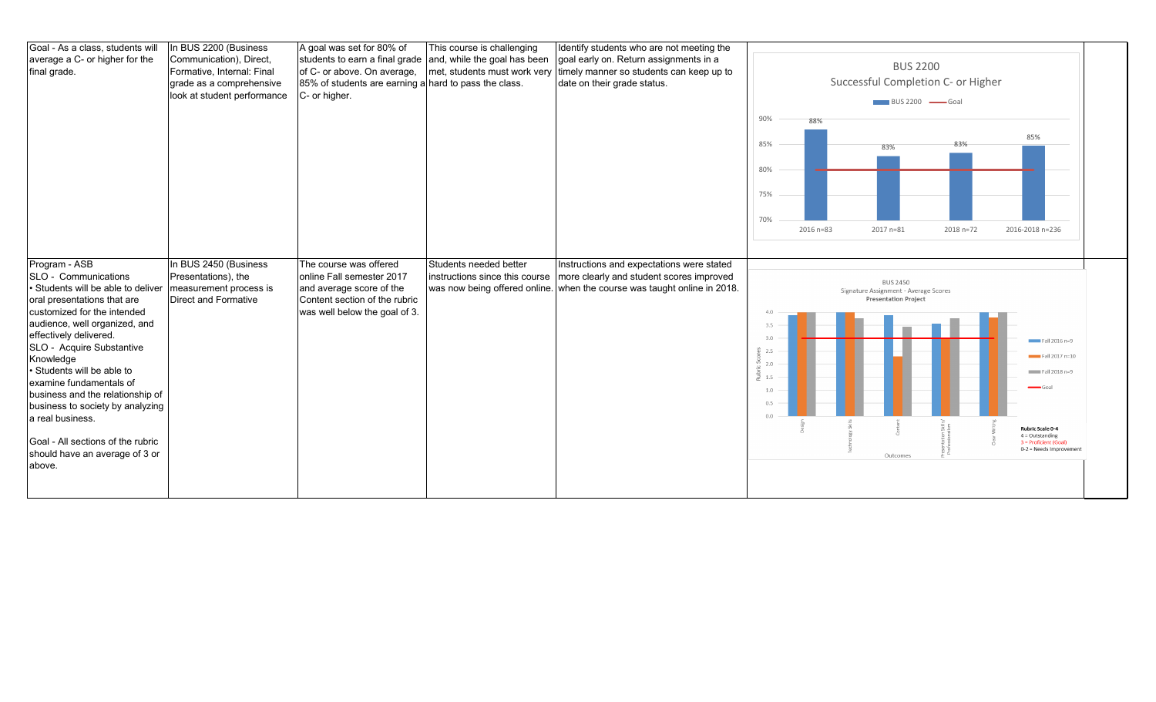| Goal - As a class, students will<br>average a C- or higher for the<br>final grade.                                                                                                                                                                                                                                                                                                                                                                                                   | In BUS 2200 (Business<br>Communication), Direct,<br>Formative, Internal: Final<br>grade as a comprehensive<br>look at student performance | A goal was set for 80% of<br>students to earn a final grade<br>of C- or above. On average,<br>85% of students are earning a hard to pass the class.<br>C- or higher. | This course is challenging<br>and, while the goal has been | Identify students who are not meeting the<br>goal early on. Return assignments in a<br>met, students must work very timely manner so students can keep up to<br>date on their grade status. | 90%<br>85%<br>80%<br>75%<br>70%                                    | 88%<br>$2016 n = 83$ | <b>BUS 2200</b><br>Successful Completion C- or Higher<br>$\blacksquare$ BUS 2200 $\blacksquare$ Goal<br>83%<br>2017 n=81 | 83%<br>2018 n=72 | 85%<br>2016-2018 n=236                                                                                                                                |  |
|--------------------------------------------------------------------------------------------------------------------------------------------------------------------------------------------------------------------------------------------------------------------------------------------------------------------------------------------------------------------------------------------------------------------------------------------------------------------------------------|-------------------------------------------------------------------------------------------------------------------------------------------|----------------------------------------------------------------------------------------------------------------------------------------------------------------------|------------------------------------------------------------|---------------------------------------------------------------------------------------------------------------------------------------------------------------------------------------------|--------------------------------------------------------------------|----------------------|--------------------------------------------------------------------------------------------------------------------------|------------------|-------------------------------------------------------------------------------------------------------------------------------------------------------|--|
| Program - ASB<br>SLO - Communications<br>• Students will be able to deliver<br>oral presentations that are<br>customized for the intended<br>audience, well organized, and<br>effectively delivered.<br>SLO - Acquire Substantive<br>Knowledge<br>• Students will be able to<br>examine fundamentals of<br>business and the relationship of<br>business to society by analyzing<br>a real business.<br>Goal - All sections of the rubric<br>should have an average of 3 or<br>above. | In BUS 2450 (Business<br>Presentations), the<br>measurement process is<br><b>Direct and Formative</b>                                     | The course was offered<br>online Fall semester 2017<br>and average score of the<br>Content section of the rubric<br>was well below the goal of 3.                    | Students needed better<br>instructions since this course   | Instructions and expectations were stated<br>more clearly and student scores improved<br>was now being offered online. when the course was taught online in 2018.                           | 4.0<br>3.5<br>3.0<br>02.5<br>2.0<br>$3 - 1.5$<br>1.0<br>0.5<br>0.0 |                      | <b>BUS 2450</b><br>Signature Assignment - Average Scores<br><b>Presentation Project</b><br>Outcomes                      |                  | Fall 2016 n=9<br>Fall 2017 n=10<br>Fall 2018 n=9<br>Goal<br>Rubric Scale 0-4<br>$4 =$ Outstanding<br>3 = Proficient (Goal)<br>0-2 = Needs Improvement |  |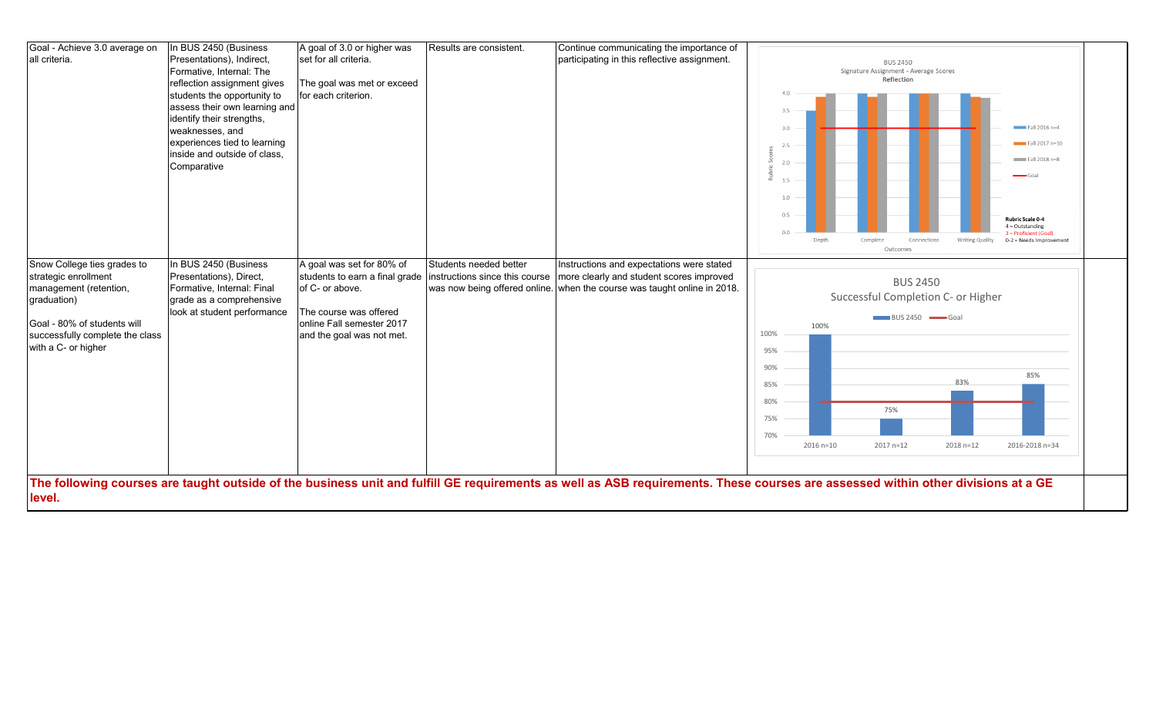| Goal - Achieve 3.0 average on   | In BUS 2450 (Business         | A goal of 3.0 or higher was    | Results are consistent.        | Continue communicating the importance of                                 |                                                                                                                                                                                  |  |
|---------------------------------|-------------------------------|--------------------------------|--------------------------------|--------------------------------------------------------------------------|----------------------------------------------------------------------------------------------------------------------------------------------------------------------------------|--|
| all criteria.                   | Presentations), Indirect,     | set for all criteria.          |                                | participating in this reflective assignment.                             | <b>BUS 2450</b>                                                                                                                                                                  |  |
|                                 | Formative, Internal: The      |                                |                                |                                                                          | Signature Assignment - Average Scores                                                                                                                                            |  |
|                                 | reflection assignment gives   | The goal was met or exceed     |                                |                                                                          | Reflection                                                                                                                                                                       |  |
|                                 | students the opportunity to   | for each criterion.            |                                |                                                                          |                                                                                                                                                                                  |  |
|                                 | assess their own learning and |                                |                                |                                                                          | 3.5                                                                                                                                                                              |  |
|                                 | identify their strengths,     |                                |                                |                                                                          |                                                                                                                                                                                  |  |
|                                 | weaknesses, and               |                                |                                |                                                                          | 3.0<br>$\equiv$ Fall 2016 n=4                                                                                                                                                    |  |
|                                 | experiences tied to learning  |                                |                                |                                                                          | $Fall 2017 n=10$<br>2.5                                                                                                                                                          |  |
|                                 | inside and outside of class,  |                                |                                |                                                                          | $Fall 2018 n=8$                                                                                                                                                                  |  |
|                                 | Comparative                   |                                |                                |                                                                          | 2.0                                                                                                                                                                              |  |
|                                 |                               |                                |                                |                                                                          | 1.5                                                                                                                                                                              |  |
|                                 |                               |                                |                                |                                                                          |                                                                                                                                                                                  |  |
|                                 |                               |                                |                                |                                                                          | 1.0                                                                                                                                                                              |  |
|                                 |                               |                                |                                |                                                                          | 0.5<br>Rubric Scale 0-4                                                                                                                                                          |  |
|                                 |                               |                                |                                |                                                                          | $4 =$ Outstanding<br>0 <sup>o</sup>                                                                                                                                              |  |
|                                 |                               |                                |                                |                                                                          | 3 = Proficient (Goal)<br>Depth<br>Complete<br>Connections<br>Writing Quality<br>0-2 = Needs Improvement                                                                          |  |
|                                 |                               |                                |                                |                                                                          | Outcomes                                                                                                                                                                         |  |
| Snow College ties grades to     | In BUS 2450 (Business         | A goal was set for 80% of      | Students needed better         | Instructions and expectations were stated                                |                                                                                                                                                                                  |  |
| strategic enrollment            | Presentations), Direct,       | students to earn a final grade | instructions since this course | more clearly and student scores improved                                 | <b>BUS 2450</b>                                                                                                                                                                  |  |
| management (retention,          | Formative, Internal: Final    | of C- or above.                |                                | was now being offered online. when the course was taught online in 2018. |                                                                                                                                                                                  |  |
| graduation)                     | grade as a comprehensive      |                                |                                |                                                                          | Successful Completion C- or Higher                                                                                                                                               |  |
|                                 | look at student performance   | The course was offered         |                                |                                                                          | BUS 2450 Goal                                                                                                                                                                    |  |
| Goal - 80% of students will     |                               | online Fall semester 2017      |                                |                                                                          | 100%                                                                                                                                                                             |  |
| successfully complete the class |                               | and the goal was not met.      |                                |                                                                          | 100%                                                                                                                                                                             |  |
| with a C- or higher             |                               |                                |                                |                                                                          | 95%                                                                                                                                                                              |  |
|                                 |                               |                                |                                |                                                                          |                                                                                                                                                                                  |  |
|                                 |                               |                                |                                |                                                                          | 90%<br>85%                                                                                                                                                                       |  |
|                                 |                               |                                |                                |                                                                          | 83%<br>85%                                                                                                                                                                       |  |
|                                 |                               |                                |                                |                                                                          | 80%                                                                                                                                                                              |  |
|                                 |                               |                                |                                |                                                                          | 75%                                                                                                                                                                              |  |
|                                 |                               |                                |                                |                                                                          | 75%                                                                                                                                                                              |  |
|                                 |                               |                                |                                |                                                                          | 70%                                                                                                                                                                              |  |
|                                 |                               |                                |                                |                                                                          | $2016 n = 10$<br>2017 n=12<br>2018 n=12<br>2016-2018 n=34                                                                                                                        |  |
|                                 |                               |                                |                                |                                                                          |                                                                                                                                                                                  |  |
|                                 |                               |                                |                                |                                                                          |                                                                                                                                                                                  |  |
|                                 |                               |                                |                                |                                                                          | The following courses are taught outside of the business unit and fulfill GE requirements as well as ASB requirements. These courses are assessed within other divisions at a GE |  |
| level.                          |                               |                                |                                |                                                                          |                                                                                                                                                                                  |  |
|                                 |                               |                                |                                |                                                                          |                                                                                                                                                                                  |  |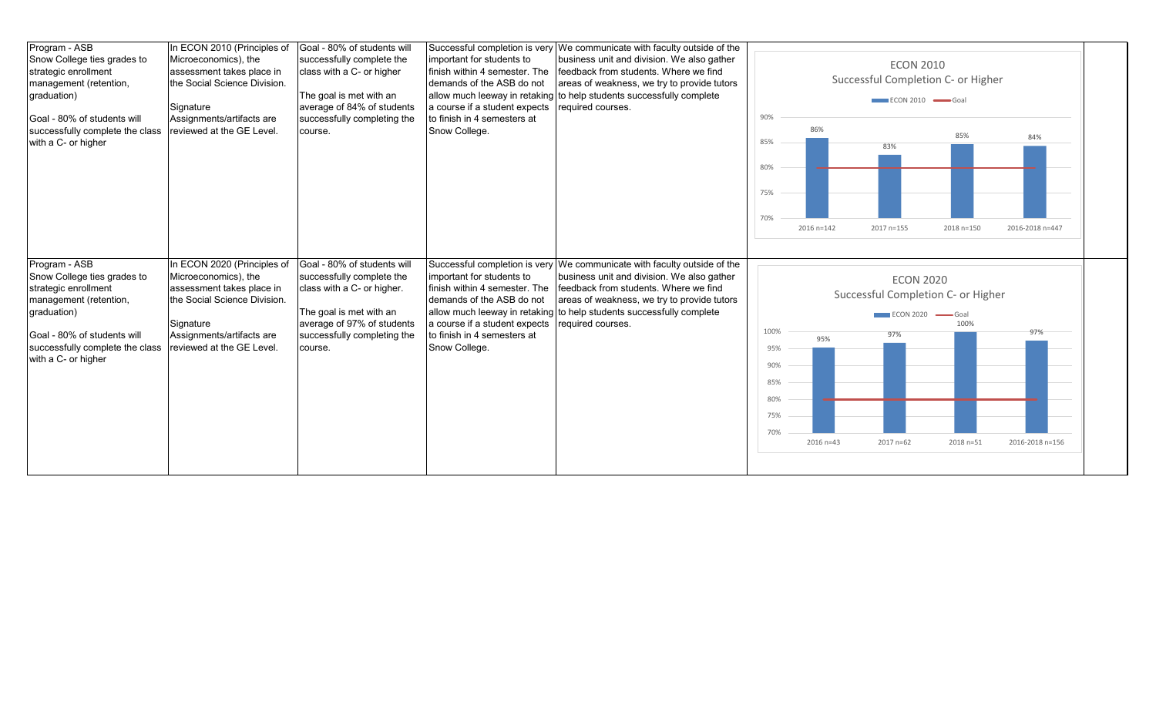| Program - ASB<br>Snow College ties grades to<br>strategic enrollment<br>management (retention,<br>graduation)<br>Goal - 80% of students will<br>successfully complete the class<br>with a C- or higher | In ECON 2010 (Principles of<br>Microeconomics), the<br>assessment takes place in<br>the Social Science Division.<br>Signature<br>Assignments/artifacts are<br>reviewed at the GE Level. | Goal - 80% of students will<br>successfully complete the<br>class with a C- or higher<br>The goal is met with an<br>average of 84% of students<br>successfully completing the<br>course.  | important for students to<br>finish within 4 semester. The<br>demands of the ASB do not<br>a course if a student expects<br>to finish in 4 semesters at<br>Snow College. | Successful completion is very We communicate with faculty outside of the<br>business unit and division. We also gather<br>feedback from students. Where we find<br>areas of weakness, we try to provide tutors<br>allow much leeway in retaking to help students successfully complete<br>required courses. | 90%<br>85%<br>80%                | 86%               | <b>ECON 2010</b><br>Successful Completion C- or Higher<br>$ECON 2010$ $\longrightarrow$ Goal<br>83% | 85%                                          | 84%                    |
|--------------------------------------------------------------------------------------------------------------------------------------------------------------------------------------------------------|-----------------------------------------------------------------------------------------------------------------------------------------------------------------------------------------|-------------------------------------------------------------------------------------------------------------------------------------------------------------------------------------------|--------------------------------------------------------------------------------------------------------------------------------------------------------------------------|-------------------------------------------------------------------------------------------------------------------------------------------------------------------------------------------------------------------------------------------------------------------------------------------------------------|----------------------------------|-------------------|-----------------------------------------------------------------------------------------------------|----------------------------------------------|------------------------|
| Program - ASB<br>Snow College ties grades to<br>strategic enrollment<br>management (retention,<br>graduation)<br>Goal - 80% of students will<br>successfully complete the class<br>with a C- or higher | In ECON 2020 (Principles of<br>Microeconomics), the<br>assessment takes place in<br>the Social Science Division.<br>Signature<br>Assignments/artifacts are<br>reviewed at the GE Level. | Goal - 80% of students will<br>successfully complete the<br>class with a C- or higher.<br>The goal is met with an<br>average of 97% of students<br>successfully completing the<br>course. | important for students to<br>finish within 4 semester. The<br>demands of the ASB do not<br>a course if a student expects<br>to finish in 4 semesters at<br>Snow College. | Successful completion is very We communicate with faculty outside of the<br>business unit and division. We also gather<br>feedback from students. Where we find<br>areas of weakness, we try to provide tutors<br>allow much leeway in retaking to help students successfully complete<br>required courses. | 75%<br>70%<br>100%<br>95%<br>90% | 2016 n=142<br>95% | 2017 n=155<br><b>ECON 2020</b><br>Successful Completion C- or Higher<br><b>ECON 2020</b><br>97%     | 2018 n=150<br>$\longrightarrow$ Goal<br>100% | 2016-2018 n=447<br>97% |
|                                                                                                                                                                                                        |                                                                                                                                                                                         |                                                                                                                                                                                           |                                                                                                                                                                          |                                                                                                                                                                                                                                                                                                             | 85%<br>80%<br>75%<br>70%         | 2016 n=43         | 2017 n=62                                                                                           | 2018 n=51                                    | 2016-2018 n=156        |